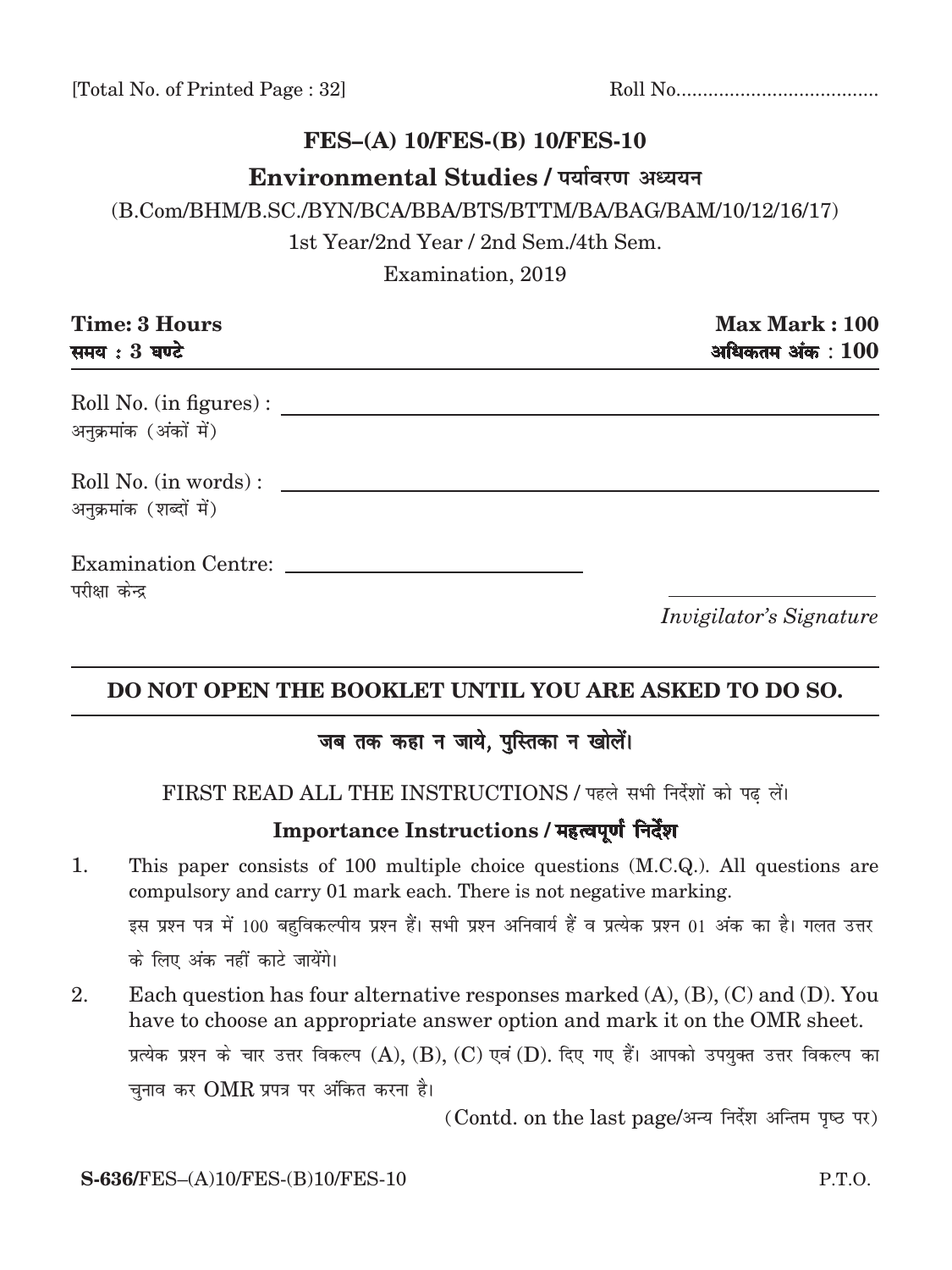[Total No. of Printed Page : 32] Roll No......................................

# **FES–(A) 10/FES-(B) 10/FES-10**

## **Environmental Studies / पर्यावरण अध्ययन**

(B.Com/BHM/B.SC./BYN/BCA/BBA/BTS/BTTM/ba/bag/bam/10/12/16/17)

1st Year/2nd Year / 2nd Sem./4th Sem.

Examination, 2019

| <b>Time: 3 Hours</b><br>समय: 3 घण्टे             | Max Mark: 100<br>अधिकतम $3$ अंक $\pm 100$ |
|--------------------------------------------------|-------------------------------------------|
| Roll No. (in figures):<br>अनुक्रमांक (अंकों में) |                                           |
| Roll No. (in words):<br>अनुक्रमांक (शब्दों में)  |                                           |
| परीक्षा केन्द्र                                  | <i>Invigilator's Signature</i>            |

# **DO NOT OPEN THE BOOKLET UNTIL YOU ARE ASKED TO DO SO.**

# जब तक कहा न जाये, पुस्तिका न खोलें।

FIRST READ ALL THE INSTRUCTIONS / पहले सभी निर्देशों को पढ़ लें।

### Importance Instructions / महत्वपूर्ण निर्देश

- 1. This paper consists of 100 multiple choice questions (M.C.Q.). All questions are compulsory and carry 01 mark each. There is not negative marking. इस प्रश्न पत्र में 100 बहुविकल्पीय प्रश्न हैं। सभी प्रश्न अनिवार्य हैं व प्रत्येक प्रश्न 01 अंक का है। गलत उत्तर के लिए अंक नहीं काटे जायेंगे।
- 2. Each question has four alternative responses marked (A), (B), (C) and (D). You have to choose an appropriate answer option and mark it on the OMR sheet. प्रत्येक प्रश्न के चार उत्तर विकल्प  $(A)$ ,  $(B)$ ,  $(C)$  एवं  $(D)$ . दिए गए हैं। आपको उपयुक्त उत्तर विकल्प का चुनाव कर  $\rm OMR$  प्रपत्र पर अंकित करना है।

(Contd. on the last page/अन्य निर्देश अन्तिम पृष्ठ पर)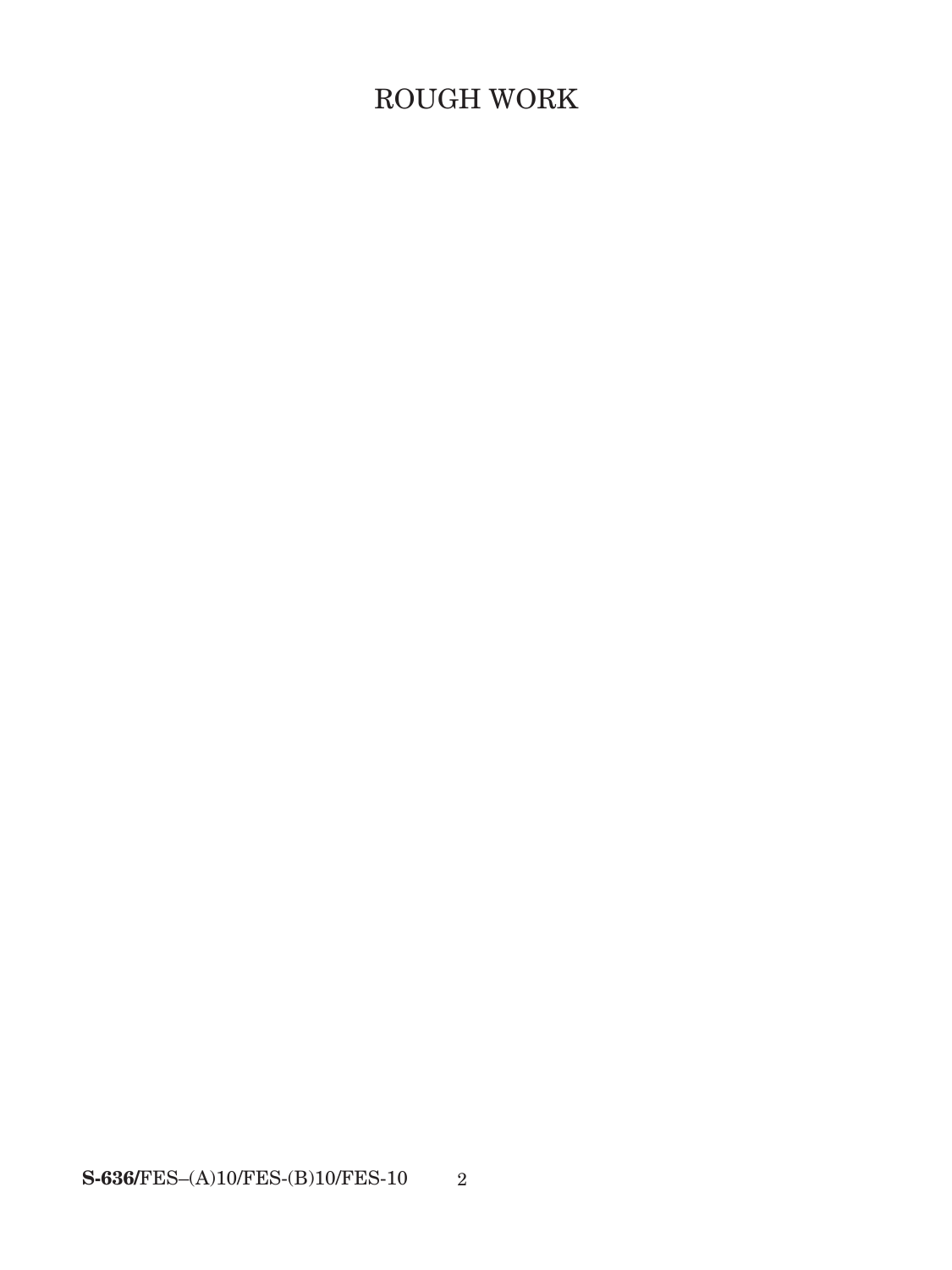# ROUGH WORK

 $\textbf{S-636/FES} \textcolor{red}{-(A)10/FES \textbf{-}(B)10/FES \textbf{-}10}$  $\overline{\phantom{a}2}$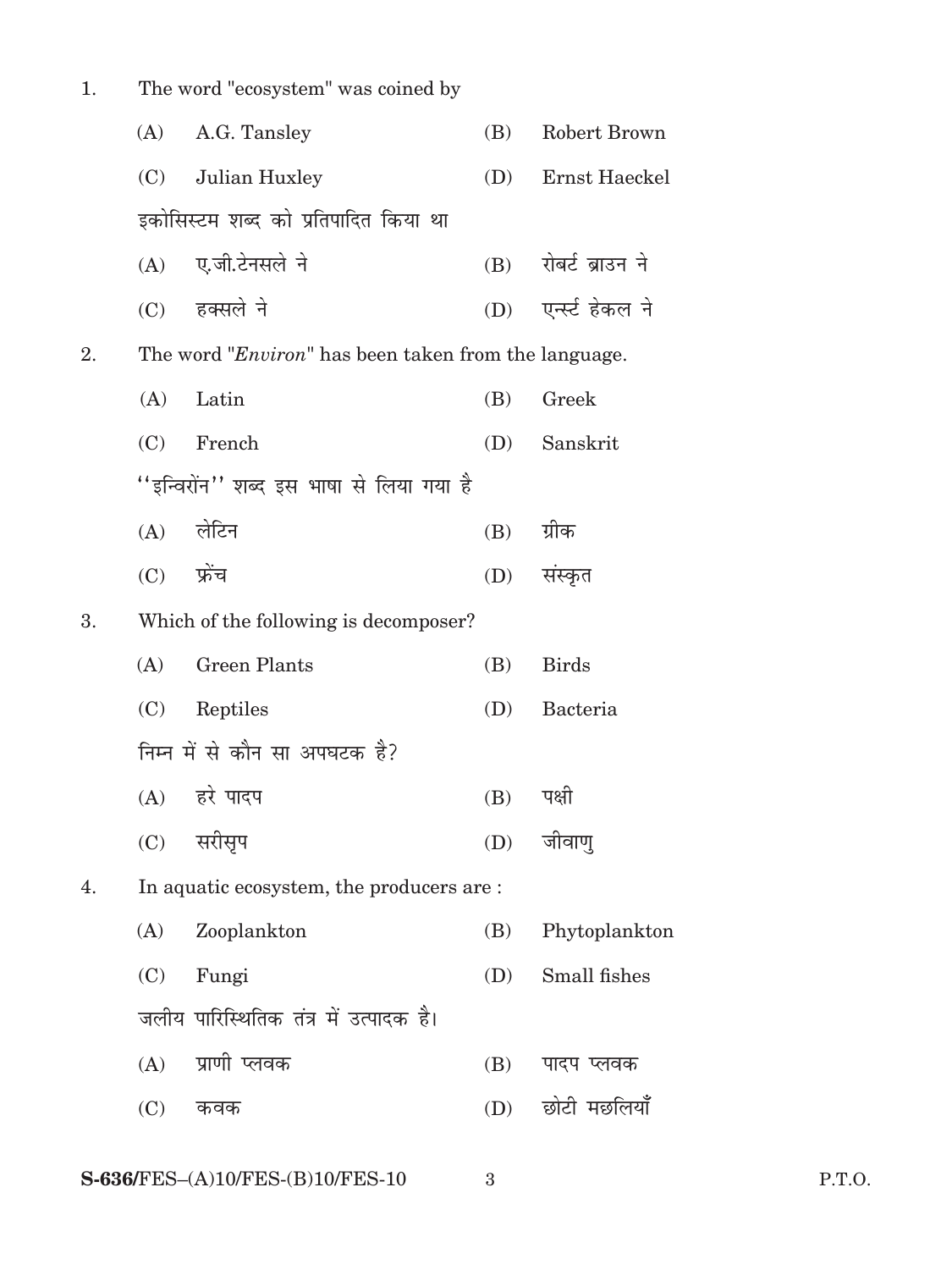| 1. |              | The word "ecosystem" was coined by                            |     |                      |
|----|--------------|---------------------------------------------------------------|-----|----------------------|
|    | (A)          | A.G. Tansley                                                  | (B) | Robert Brown         |
|    | (C)          | Julian Huxley                                                 | (D) | Ernst Haeckel        |
|    |              | इकोसिस्टम शब्द को प्रतिपादित किया था                          |     |                      |
|    |              | (A) ए.जी.टेनसले ने                                            |     | (B) रोबर्ट ब्राउन ने |
|    |              | $(C)$ हक्सले ने                                               | (D) | एर्न्स्ट हेकल ने     |
| 2. |              | The word " <i>Environ</i> " has been taken from the language. |     |                      |
|    | (A)          | Latin                                                         | (B) | Greek                |
|    | (C)          | French                                                        | (D) | Sanskrit             |
|    |              | ''इन्विरोंन'' शब्द इस भाषा से लिया गया है                     |     |                      |
|    |              | (A) लेटिन                                                     | (B) | ग्रीक                |
|    | $(C)$ फ्रेंच |                                                               | (D) | संस्कृत              |
| 3. |              | Which of the following is decomposer?                         |     |                      |
|    | (A)          | <b>Green Plants</b>                                           | (B) | <b>Birds</b>         |
|    | (C)          | Reptiles                                                      | (D) | Bacteria             |
|    |              | निम्न में से कौन सा अपघटक है?                                 |     |                      |
|    |              | (A) हरे पादप                                                  | (B) | पक्षी                |
|    | (C)          | सरीसृप                                                        | (D) | जीवाण्               |
| 4. |              | In aquatic ecosystem, the producers are :                     |     |                      |
|    | (A)          | Zooplankton                                                   | (B) | Phytoplankton        |
|    | (C)          | Fungi                                                         | (D) | Small fishes         |
|    |              | जलीय पारिस्थितिक तंत्र में उत्पादक है।                        |     |                      |
|    | (A)          | प्राणी प्लवक                                                  | (B) | पादप प्लवक           |
|    | (C)          | कवक                                                           | (D) | छोटी मछलियाँ         |
|    |              |                                                               |     |                      |

 $\mathbf{3}$ 

P.T.O.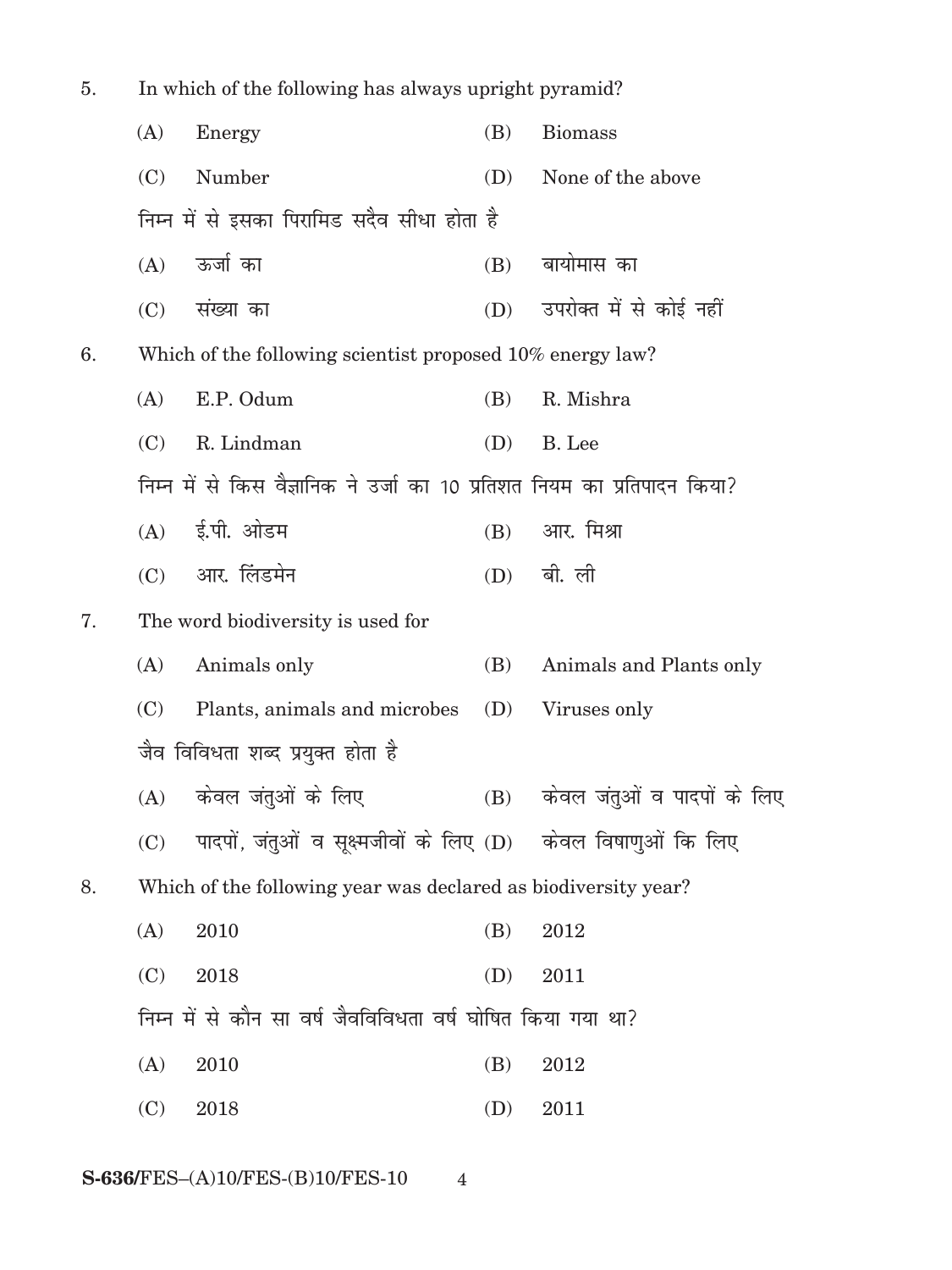| In which of the following has always upright pyramid?<br>5. |     |                                                                           |     |                                    |
|-------------------------------------------------------------|-----|---------------------------------------------------------------------------|-----|------------------------------------|
|                                                             | (A) | Energy                                                                    | (B) | <b>Biomass</b>                     |
|                                                             | (C) | Number                                                                    | (D) | None of the above                  |
|                                                             |     | निम्न में से इसका पिरामिड सदैव सीधा होता है                               |     |                                    |
|                                                             | (A) | ऊर्जा का                                                                  | (B) | बायोमास का                         |
|                                                             | (C) | संख्या का                                                                 |     | (D) उपरोक्त में से कोई नहीं        |
| 6.                                                          |     | Which of the following scientist proposed 10% energy law?                 |     |                                    |
|                                                             | (A) | E.P. Odum                                                                 | (B) | R. Mishra                          |
|                                                             | (C) | R. Lindman                                                                | (D) | B. Lee                             |
|                                                             |     | निम्न में से किस वैज्ञानिक ने उर्जा का 10 प्रतिशत नियम का प्रतिपादन किया? |     |                                    |
|                                                             |     | (A) ई.पी. ओडम                                                             | (B) | आर. मिश्रा                         |
|                                                             |     | (C) आर. लिंडमेन                                                           |     | (D) बी. ली                         |
| 7.                                                          |     | The word biodiversity is used for                                         |     |                                    |
|                                                             | (A) | Animals only                                                              | (B) | Animals and Plants only            |
|                                                             | (C) | Plants, animals and microbes                                              | (D) | Viruses only                       |
|                                                             |     | जैव विविधता शब्द प्रयुक्त होता है                                         |     |                                    |
|                                                             |     | (A) केवल जंतुओं के लिए                                                    |     | (B)    केवल जंतुओं व पादपों के लिए |
|                                                             | (C) | पादपों, जंतुओं व सूक्ष्मजीवों के लिए (D) केवल विषाणुओं कि लिए             |     |                                    |
| 8.                                                          |     | Which of the following year was declared as biodiversity year?            |     |                                    |
|                                                             | (A) | 2010                                                                      | (B) | 2012                               |
|                                                             | (C) | 2018                                                                      | (D) | 2011                               |
|                                                             |     | निम्न में से कौन सा वर्ष जैवविविधता वर्ष घोषित किया गया था?               |     |                                    |
|                                                             | (A) | 2010                                                                      | (B) | 2012                               |
|                                                             | (C) | 2018                                                                      | (D) | 2011                               |
|                                                             |     |                                                                           |     |                                    |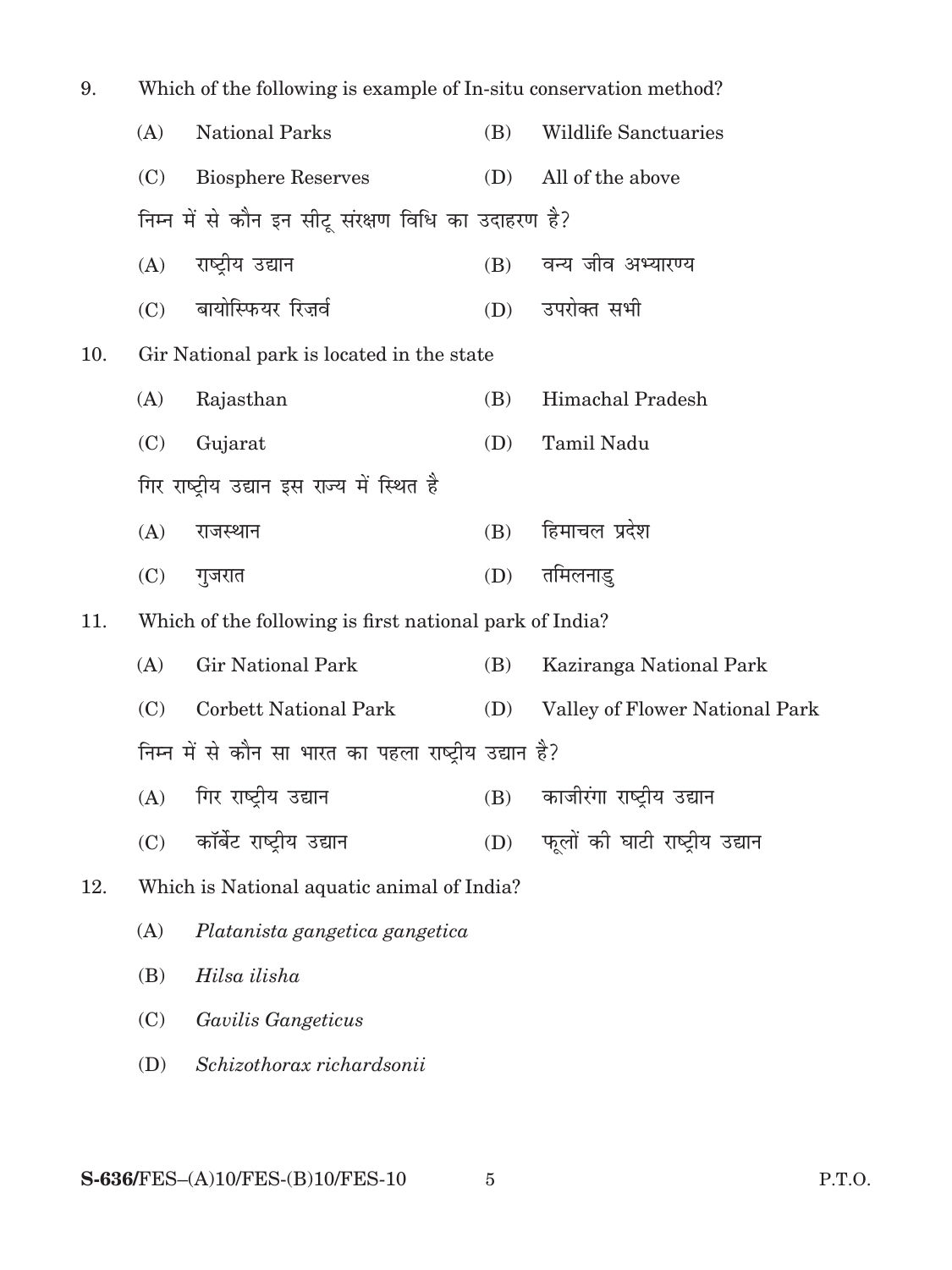| 9.  | Which of the following is example of In-situ conservation method? |                                                         |     |                                |
|-----|-------------------------------------------------------------------|---------------------------------------------------------|-----|--------------------------------|
|     | (A)                                                               | <b>National Parks</b>                                   | (B) | <b>Wildlife Sanctuaries</b>    |
|     | (C)                                                               | <b>Biosphere Reserves</b>                               |     | (D) All of the above           |
|     |                                                                   | निम्न में से कौन इन सीटू संरक्षण विधि का उदाहरण है?     |     |                                |
|     | (A)                                                               | राष्ट्रीय उद्यान                                        |     | (B) वन्य जीव अभ्यारण्य         |
|     | (C)                                                               | बायोस्फियर रिज़र्व                                      |     | (D) उपरोक्त सभी                |
| 10. |                                                                   | Gir National park is located in the state               |     |                                |
|     | (A)                                                               | Rajasthan                                               | (B) | Himachal Pradesh               |
|     | (C)                                                               | Gujarat                                                 | (D) | Tamil Nadu                     |
|     |                                                                   | गिर राष्ट्रीय उद्यान इस राज्य में स्थित है              |     |                                |
|     | (A)                                                               | राजस्थान                                                | (B) | हिमाचल प्रदेश                  |
|     | (C)                                                               | गुजरात                                                  | (D) | तमिलनाडु                       |
| 11. |                                                                   | Which of the following is first national park of India? |     |                                |
|     | (A)                                                               | <b>Gir National Park</b>                                | (B) | Kaziranga National Park        |
|     | (C)                                                               | <b>Corbett National Park</b>                            | (D) | Valley of Flower National Park |
|     |                                                                   | निम्न में से कौन सा भारत का पहला राष्ट्रीय उद्यान है?   |     |                                |
|     | (A)                                                               | गिर राष्ट्रीय उद्यान                                    |     | (B) काजीरंगा राष्ट्रीय उद्यान  |
|     | (C)                                                               | कॉर्बेट राष्ट्रीय उद्यान                                | (D) | फूलों की घाटी राष्ट्रीय उद्यान |
| 12. |                                                                   | Which is National aquatic animal of India?              |     |                                |
|     | (A)                                                               | Platanista gangetica gangetica                          |     |                                |
|     | (B)                                                               | Hilsa ilisha                                            |     |                                |
|     | (C)                                                               | Gavilis Gangeticus                                      |     |                                |
|     | (D)                                                               | Schizothorax richardsonii                               |     |                                |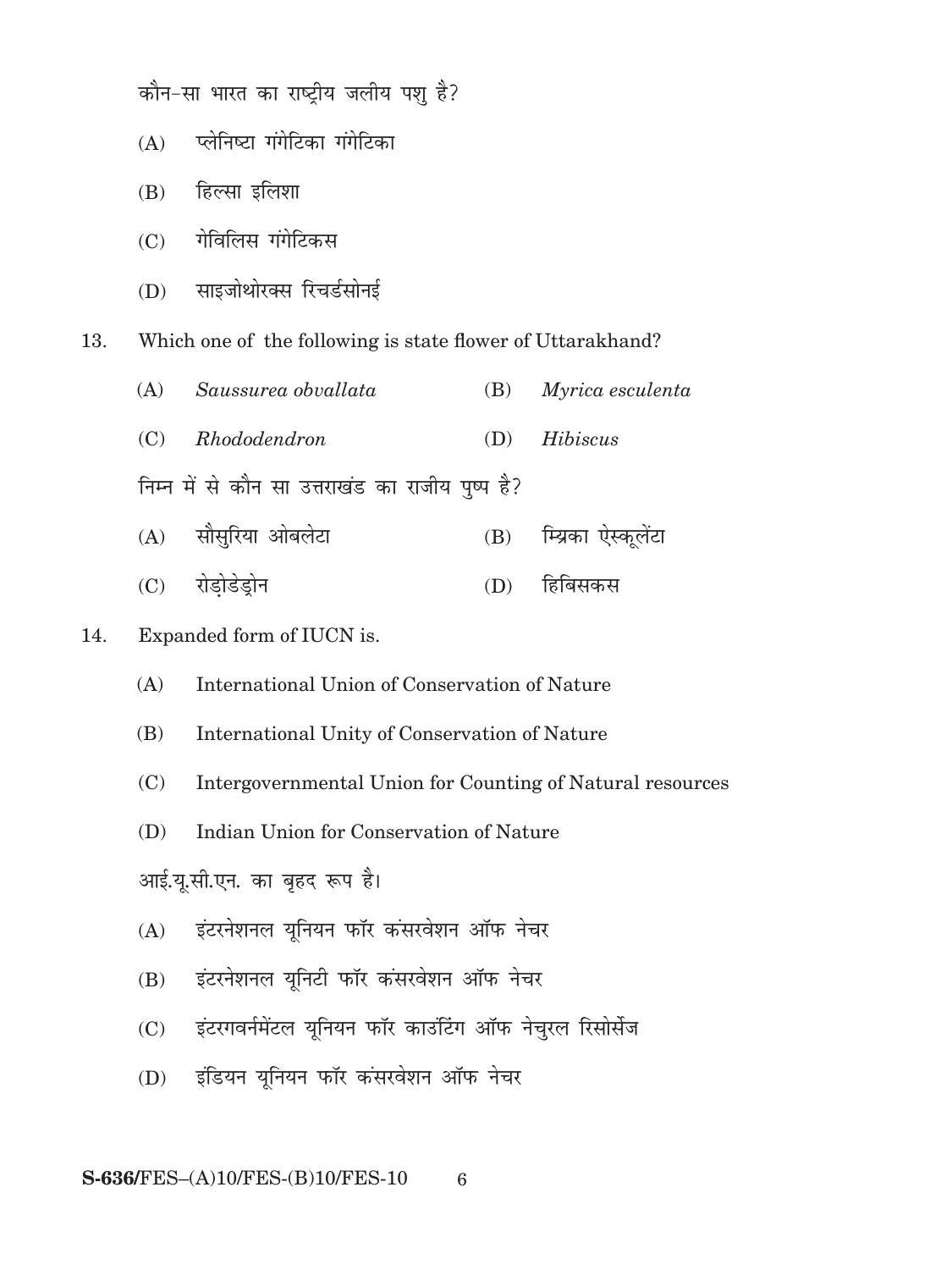कौन-सा भारत का राष्ट्रीय जलीय पशु है?

- $(A)$  प्लेनिष्टा गंगेटिका गंगेटिका
- $(B)$  हिल्सा इलिशा
- $(C)$  गेविलिस गंगेटिकस
- (D) साइजोथोरक्स रिचर्डसोनई

13. Which one of the following is state flower of Uttarakhand?

| (A) Saussurea obvallata                          | $(B)$ <i>Myrica esculenta</i> |
|--------------------------------------------------|-------------------------------|
| (C) Rhododendron                                 | $(D)$ <i>Hibiscus</i>         |
| निम्न में से कौन सा उत्तराखंड का राजीय पुष्प है? |                               |
| (A) सौसुरिया ओबलेटा                              | (B) म्यिका ऐस्कुलेंटा         |

(C) रोडोडेडोन (D) हिबिसकस

### 14. Expanded form of IUCN is.

- (A) International Union of Conservation of Nature
- (B) International Unity of Conservation of Nature
- (C) Intergovernmental Union for Counting of Natural resources
- (D) Indian Union for Conservation of Nature

आई.यू.सी.एन. का बृहद रूप है।

- (A) इंटरनेशनल युनियन फॉर कंसरवेशन ऑफ नेचर
- (B) इंटरनेशनल युनिटी फॉर कंसरवेशन ऑफ नेचर
- (C) इंटरगवर्नमेंटल यूनियन फॉर काउंटिंग ऑफ नेचुरल रिसोर्सेज
- (D) इंडियन यूनियन फॉर कंसरवेशन ऑफ नेचर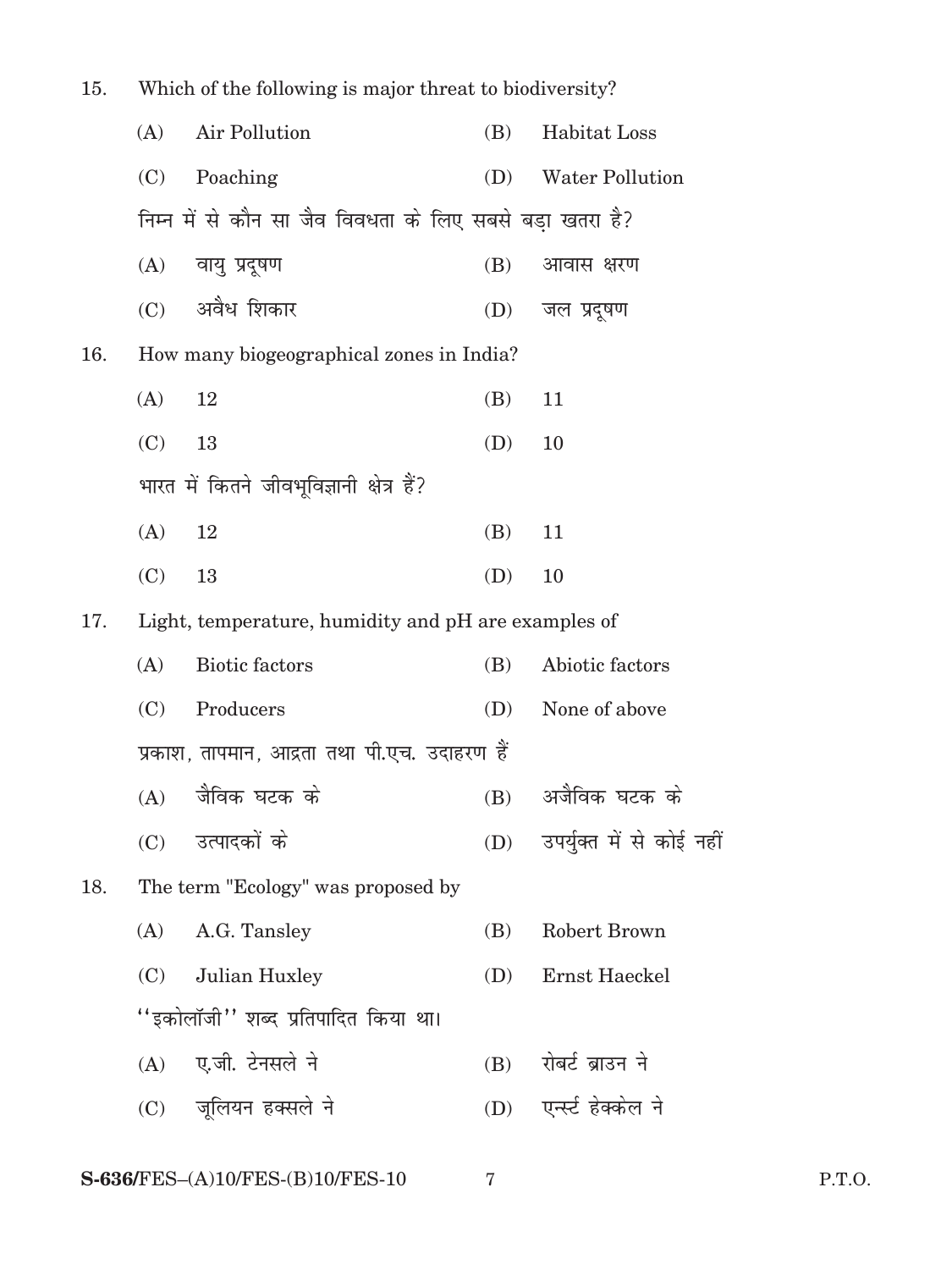| 15. | Which of the following is major threat to biodiversity? |                                                          |     |                           |
|-----|---------------------------------------------------------|----------------------------------------------------------|-----|---------------------------|
|     | (A)                                                     | Air Pollution                                            | (B) | Habitat Loss              |
|     | (C)                                                     | Poaching                                                 | (D) | <b>Water Pollution</b>    |
|     |                                                         | निम्न में से कौन सा जैव विवधता के लिए सबसे बड़ा खतरा है? |     |                           |
|     |                                                         | (A) वायु प्रदूषण                                         | (B) | आवास क्षरण                |
|     |                                                         | (C) अवैध शिकार                                           | (D) | जल प्रदूषण                |
| 16. |                                                         | How many biogeographical zones in India?                 |     |                           |
|     | (A)                                                     | 12                                                       | (B) | 11                        |
|     | (C)                                                     | 13                                                       | (D) | 10                        |
|     |                                                         | भारत में कितने जीवभूविज्ञानी क्षेत्र हैं?                |     |                           |
|     | (A)                                                     | 12                                                       | (B) | 11                        |
|     | (C)                                                     | 13                                                       | (D) | 10                        |
| 17. |                                                         | Light, temperature, humidity and pH are examples of      |     |                           |
|     | (A)                                                     | <b>Biotic factors</b>                                    | (B) | Abiotic factors           |
|     | (C)                                                     | Producers                                                | (D) | None of above             |
|     |                                                         | प्रकाश, तापमान, आद्रता तथा पी.एच. उदाहरण हैं             |     |                           |
|     |                                                         | (A) जैविक घटक के                                         |     | (B) अजैविक घटक के         |
|     | (C)                                                     | उत्पादकों के                                             | (D) | उपर्युक्त में से कोई नहीं |
| 18. |                                                         | The term "Ecology" was proposed by                       |     |                           |
|     | (A)                                                     | A.G. Tansley                                             | (B) | Robert Brown              |
|     | (C)                                                     | Julian Huxley                                            | (D) | Ernst Haeckel             |
|     |                                                         | ''इकोलॉजी'' शब्द प्रतिपादित किया था।                     |     |                           |
|     |                                                         | (A) ए.जी. टेनसले ने                                      | (B) | रोबर्ट ब्राउन ने          |
|     |                                                         | (C) जूलियन हक्सले ने                                     |     | (D) एन्स्ट हेक्केल ने     |
|     |                                                         |                                                          |     |                           |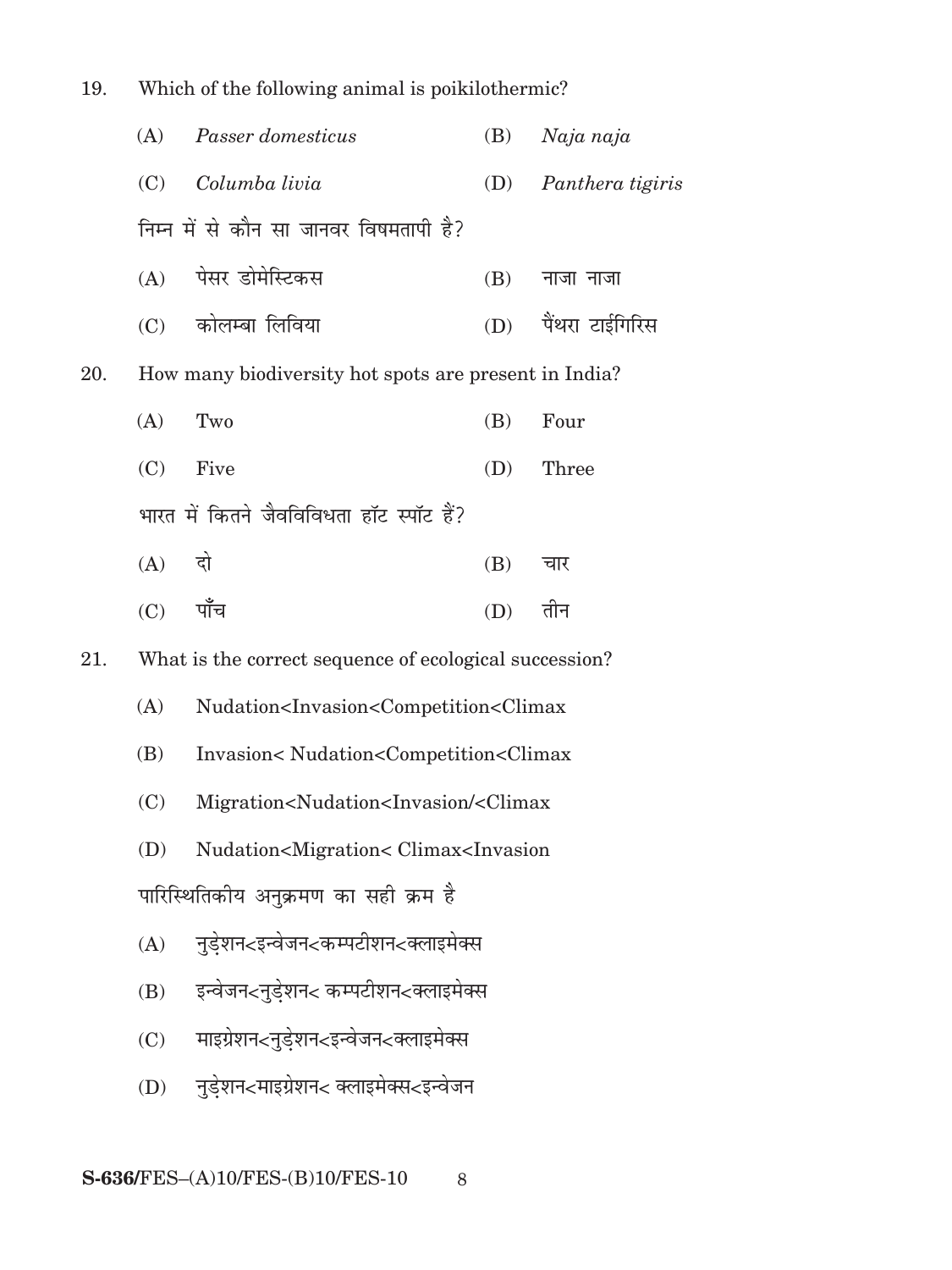| 19. | which of the following animal is poikthothermic. |                                                                                                |     |                     |  |  |
|-----|--------------------------------------------------|------------------------------------------------------------------------------------------------|-----|---------------------|--|--|
|     | (A)                                              | Passer domesticus                                                                              | (B) | Naja naja           |  |  |
|     |                                                  | (C) Columba livia                                                                              | (D) | Panthera tigiris    |  |  |
|     |                                                  | निम्न में से कौन सा जानवर विषमतापी है?                                                         |     |                     |  |  |
|     |                                                  | (A) पेसर डोमेस्टिकस                                                                            | (B) | नाजा नाजा           |  |  |
|     |                                                  | (C) कोलम्बा लिविया                                                                             |     | (D) पैंथरा टाईगिरिस |  |  |
| 20. |                                                  | How many biodiversity hot spots are present in India?                                          |     |                     |  |  |
|     | (A)                                              | Two                                                                                            | (B) | Four                |  |  |
|     | (C)                                              | Five                                                                                           | (D) | Three               |  |  |
|     |                                                  | भारत में कितने जैवविविधता हॉट स्पॉट हैं?                                                       |     |                     |  |  |
|     | $(A)$ दो                                         |                                                                                                | (B) | चार                 |  |  |
|     | $(C)$ पाँच                                       |                                                                                                | (D) | तीन                 |  |  |
| 21. |                                                  | What is the correct sequence of ecological succession?                                         |     |                     |  |  |
|     | (A)                                              | Nudation <invasion<competition<climax< td=""><td></td><td></td></invasion<competition<climax<> |     |                     |  |  |
|     | (B)                                              | Invasion <nudation<competition<climax< td=""><td></td><td></td></nudation<competition<climax<> |     |                     |  |  |
|     | (C)                                              | Migration <nudation<invasion <climax<="" td=""><td></td><td></td></nudation<invasion>          |     |                     |  |  |
|     | (D)                                              | Nudation <migration< climax<invasion<="" td=""><td></td><td></td></migration<>                 |     |                     |  |  |
|     | पारिस्थितिकीय अनुक्रमण का सही क्रम है            |                                                                                                |     |                     |  |  |
|     | (A)                                              | नुडेशन<इन्वेजन<कम्पटीशन<क्लाइमेक्स                                                             |     |                     |  |  |
|     | (B)                                              | इन्वेजन<नुडेशन< कम्पटीशन<क्लाइमेक्स                                                            |     |                     |  |  |
|     | (C)                                              | माइग्रेशन<नुडेशन<इन्वेजन<क्लाइमेक्स                                                            |     |                     |  |  |
|     | (D)                                              | नुडेशन<माइग्रेशन< क्लाइमेक्स<इन्वेजन                                                           |     |                     |  |  |
|     |                                                  |                                                                                                |     |                     |  |  |

19. Which of the following animal is poikilothermic?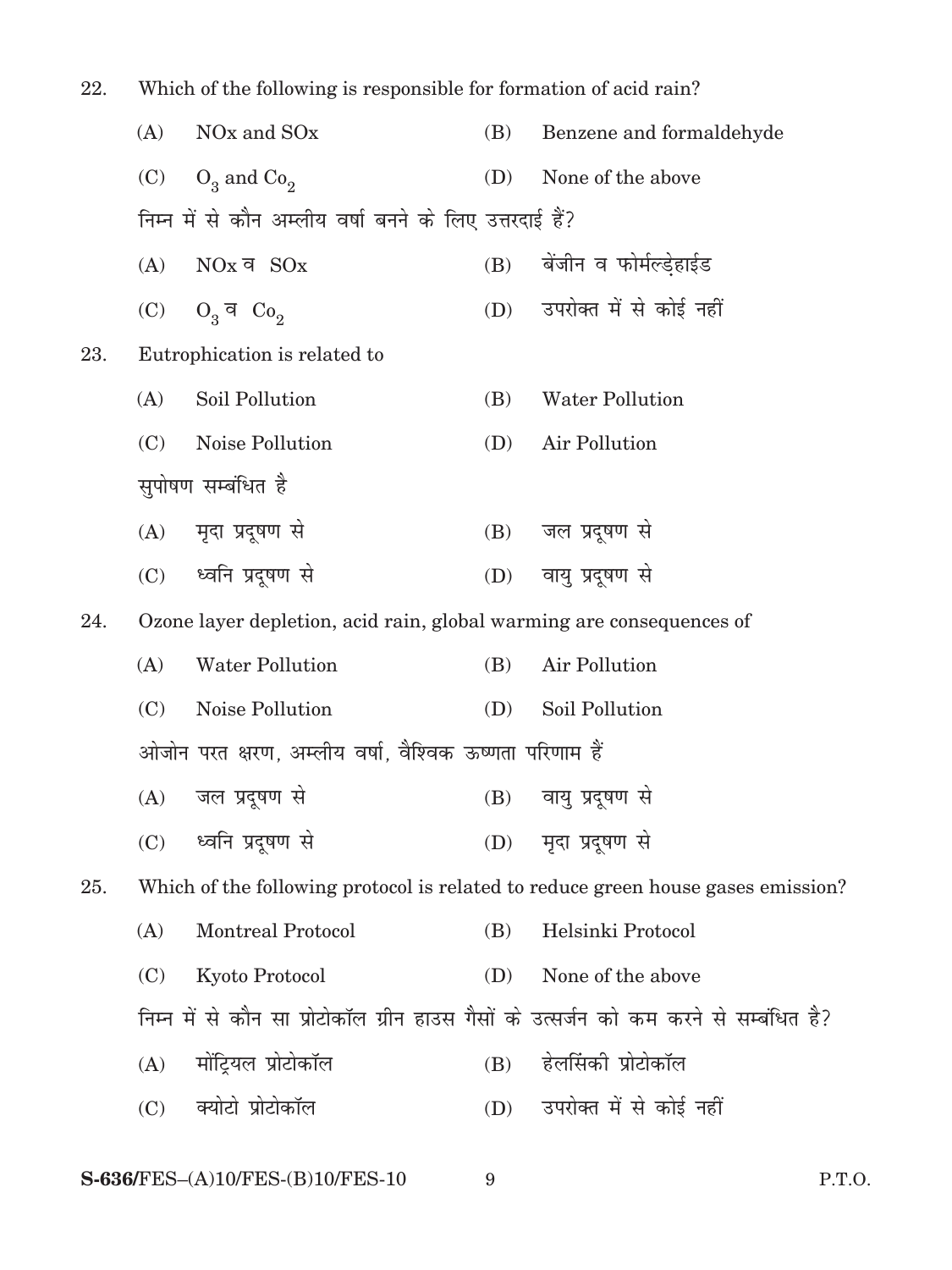| 22. | Which of the following is responsible for formation of acid rain? |                                                                      |     |                                                                                       |
|-----|-------------------------------------------------------------------|----------------------------------------------------------------------|-----|---------------------------------------------------------------------------------------|
|     | (A)                                                               | NO <sub>x</sub> and SO <sub>x</sub>                                  | (B) | Benzene and formaldehyde                                                              |
|     | (C)                                                               | $O_3$ and $Co_2$                                                     | (D) | None of the above                                                                     |
|     |                                                                   | निम्न में से कौन अम्लीय वर्षा बनने के लिए उत्तरदाई हैं?              |     |                                                                                       |
|     | (A)                                                               | $NOx$ व $SOx$                                                        |     | (B) बेंजीन व फोर्मल्ड्हाईड                                                            |
|     | (C)                                                               | $O_3$ व $Co_2$                                                       |     | (D) उपरोक्त में से कोई नहीं                                                           |
| 23. |                                                                   | Eutrophication is related to                                         |     |                                                                                       |
|     | (A)                                                               | Soil Pollution                                                       | (B) | <b>Water Pollution</b>                                                                |
|     | (C)                                                               | Noise Pollution                                                      | (D) | Air Pollution                                                                         |
|     |                                                                   | सुपोषण सम्बंधित है                                                   |     |                                                                                       |
|     |                                                                   | (A) मृदा प्रदूषण से                                                  | (B) | जल प्रदूषण से                                                                         |
|     |                                                                   | (C) ध्वनि प्रदूषण से                                                 |     | (D) वायु प्रदूषण से                                                                   |
| 24. |                                                                   | Ozone layer depletion, acid rain, global warming are consequences of |     |                                                                                       |
|     | (A)                                                               | <b>Water Pollution</b>                                               | (B) | Air Pollution                                                                         |
|     | (C)                                                               | Noise Pollution                                                      | (D) | Soil Pollution                                                                        |
|     |                                                                   | ओजोन परत क्षरण, अम्लीय वर्षा, वैश्विक ऊष्णता परिणाम हैं              |     |                                                                                       |
|     |                                                                   | (A) जल प्रदूषण से                                                    |     | (B) वायु प्रदूषण से                                                                   |
|     | (C)                                                               | ध्वनि प्रदूषण से                                                     |     | (D) मृदा प्रदूषण से                                                                   |
| 25. |                                                                   |                                                                      |     | Which of the following protocol is related to reduce green house gases emission?      |
|     | (A)                                                               | <b>Montreal Protocol</b>                                             | (B) | Helsinki Protocol                                                                     |
|     | (C)                                                               | Kyoto Protocol                                                       | (D) | None of the above                                                                     |
|     |                                                                   |                                                                      |     | निम्न में से कौन सा प्रोटोकॉल ग्रीन हाउस गैसों के उत्सर्जन को कम करने से सम्बंधित है? |
|     | (A)                                                               | मोंट्रियल प्रोटोकॉल                                                  | (B) | हेलसिंकी प्रोटोकॉल                                                                    |
|     | (C)                                                               | क्योटो प्रोटोकॉल                                                     |     | (D) उपरोक्त में से कोई नहीं                                                           |
|     |                                                                   |                                                                      |     |                                                                                       |

#### $S-636$ /FES- $(A)10$ /FES- $(B)10$ /FES- $10$  $\boldsymbol{9}$

P.T.O.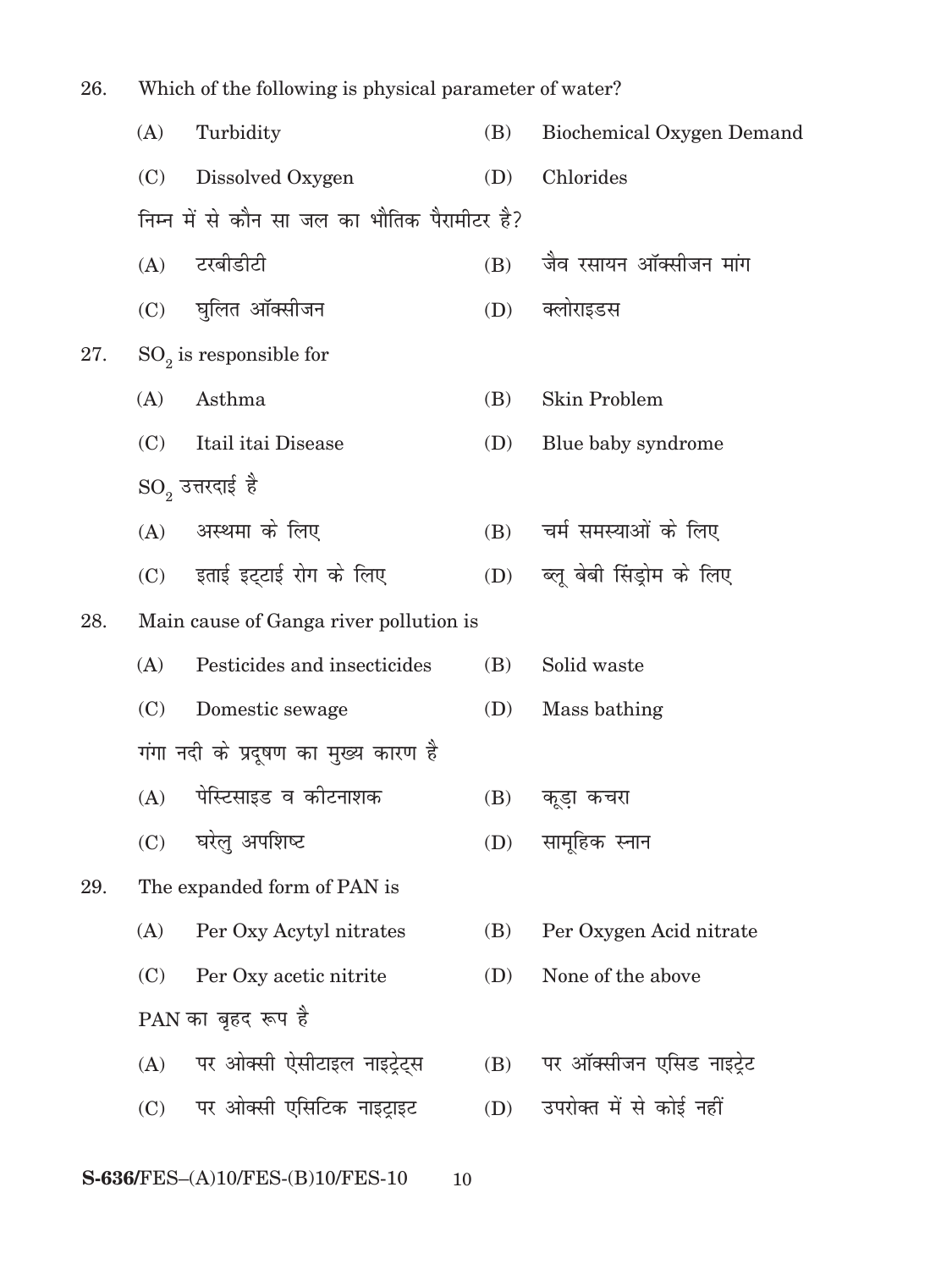| 26. | Which of the following is physical parameter of water? |                                              |     |                           |  |  |
|-----|--------------------------------------------------------|----------------------------------------------|-----|---------------------------|--|--|
|     | (A)                                                    | Turbidity                                    | (B) | Biochemical Oxygen Demand |  |  |
|     | (C)                                                    | Dissolved Oxygen                             | (D) | Chlorides                 |  |  |
|     |                                                        | निम्न में से कौन सा जल का भौतिक पैरामीटर है? |     |                           |  |  |
|     |                                                        | (A) टरबीडीटी                                 | (B) | जैव रसायन ऑक्सीजन मांग    |  |  |
|     |                                                        | (C) घुलित ऑक्सीजन                            | (D) | क्लोराइडस                 |  |  |
| 27. |                                                        | $SO_2$ is responsible for                    |     |                           |  |  |
|     | (A)                                                    | Asthma                                       | (B) | Skin Problem              |  |  |
|     | (C)                                                    | Itail itai Disease                           | (D) | Blue baby syndrome        |  |  |
|     |                                                        | ${\rm SO}_2$ उत्तरदाई है                     |     |                           |  |  |
|     |                                                        | (A) अस्थमा के लिए                            | (B) | चर्म समस्याओं के लिए      |  |  |
|     |                                                        | (C) इताई इट्टाई रोग के लिए                   | (D) | ब्लू बेबी सिंड्रोम के लिए |  |  |
| 28. |                                                        | Main cause of Ganga river pollution is       |     |                           |  |  |
|     | (A)                                                    | Pesticides and insecticides                  | (B) | Solid waste               |  |  |
|     | (C)                                                    | Domestic sewage                              | (D) | Mass bathing              |  |  |
|     |                                                        | गंगा नदी के प्रदूषण का मुख्य कारण है         |     |                           |  |  |
|     |                                                        | (A) पेस्टिसाइड व कोटनाशक                     |     | (B) कडूा कचरा             |  |  |
|     | (C)                                                    | घरेलु अपशिष्ट                                | (D) | सामूहिक स्नान             |  |  |
| 29. |                                                        | The expanded form of PAN is                  |     |                           |  |  |
|     | (A)                                                    | Per Oxy Acytyl nitrates                      | (B) | Per Oxygen Acid nitrate   |  |  |
|     | (C)                                                    | Per Oxy acetic nitrite                       | (D) | None of the above         |  |  |
|     |                                                        | PAN का बृहद रूप है                           |     |                           |  |  |
|     | (A)                                                    | पर ओक्सी ऐसीटाइल नाइट्रेट्स                  | (B) | पर ऑक्सीजन एसिड नाइट्रेट  |  |  |
|     | (C)                                                    | पर ओक्सी एसिटिक नाइट्राइट                    | (D) | उपरोक्त में से कोई नहीं   |  |  |
|     |                                                        | S-636/FES-(A)10/FES-(B)10/FES-10<br>10       |     |                           |  |  |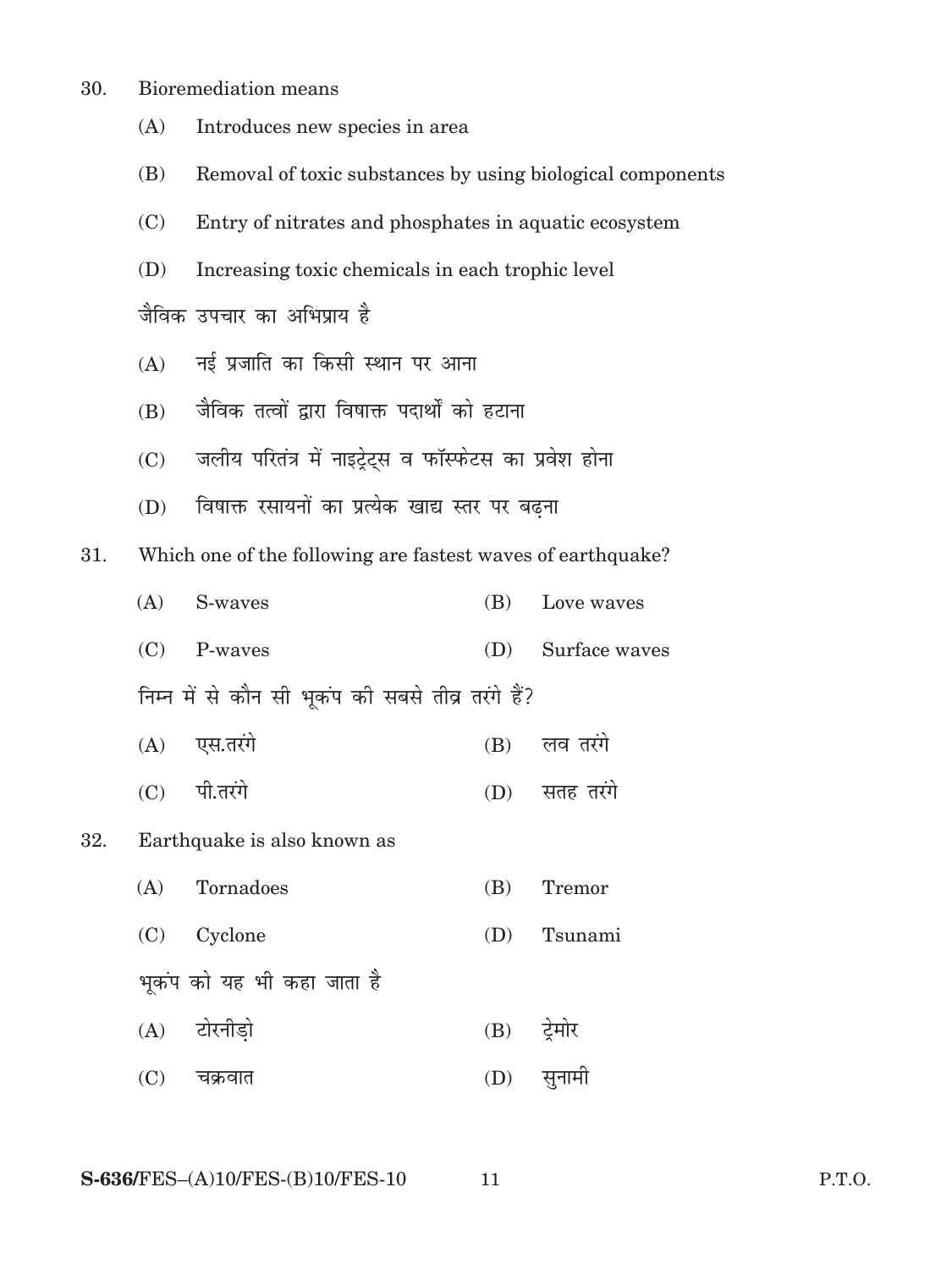- 30. Bioremediation means
	- (A) Introduces new species in area
	- (B) Removal of toxic substances by using biological components
	- (C) Entry of nitrates and phosphates in aquatic ecosystem
	- (D) Increasing toxic chemicals in each trophic level

जैविक उपचार का अभिप्राय है

- $(A)$  नई प्रजाति का किसी स्थान पर आना
- $(B)$  जैविक तत्वों द्वारा विषाक्त पदार्थों को हटाना
- (C) जलीय परितंत्र में नाइट्रेट्स व फॉस्फेटस का प्रवेश होना
- (D) विषाक्त रसायनों का प्रत्येक खाद्य स्तर पर बढ़ना

31. Which one of the following are fastest waves of earthquake?

|  | $(A)$ S-waves                                      | (B) Love waves    |
|--|----------------------------------------------------|-------------------|
|  | $(C)$ P-waves                                      | (D) Surface waves |
|  | निम्न में से कौन सी भूकंप की सबसे तीव्र तरंगे हैं? |                   |
|  | $(A)$ एस.तरंगे                                     | $(B)$ लव तरंगे    |
|  | $(C)$ पी.तरंगे                                     | (D) सतह तरंगे     |

#### 32. Earthquake is also known as

| (A) | Tornadoes                  | (B) | Tremor        |
|-----|----------------------------|-----|---------------|
|     | (C) Cyclone                | (D) | Tsunami       |
|     | भूकंप को यह भी कहा जाता है |     |               |
|     | (A) टोरनीडो                |     | $(B)$ ट्रेमोर |
| (C) | चक्रवात                    | (D) | सुनामी        |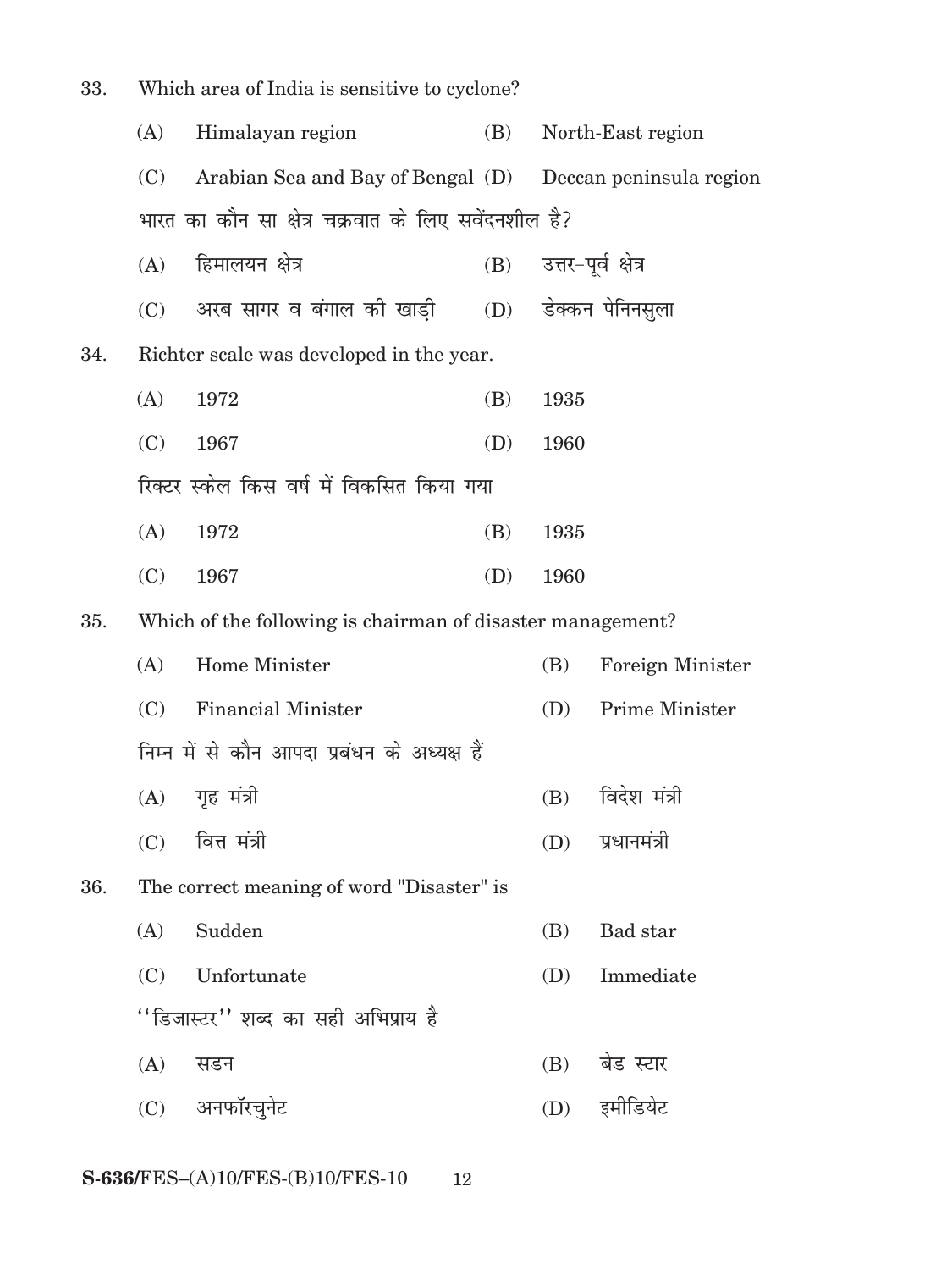| Which area of India is sensitive to cyclone?<br>33. |     |                                                            |     |                         |                         |
|-----------------------------------------------------|-----|------------------------------------------------------------|-----|-------------------------|-------------------------|
|                                                     | (A) | Himalayan region                                           | (B) |                         | North-East region       |
|                                                     | (C) | Arabian Sea and Bay of Bengal (D) Deccan peninsula region  |     |                         |                         |
|                                                     |     | भारत का कौन सा क्षेत्र चक्रवात के लिए सवेंदनशील है?        |     |                         |                         |
|                                                     | (A) | हिमालयन क्षेत्र                                            |     | (B) उत्तर-पूर्व क्षेत्र |                         |
|                                                     |     | (C)     अरब सागर व बंगाल को खाड़ी                          |     |                         | (D) डेक्कन पेनिनस़्ला   |
| 34.                                                 |     | Richter scale was developed in the year.                   |     |                         |                         |
|                                                     | (A) | 1972                                                       | (B) | 1935                    |                         |
|                                                     | (C) | 1967                                                       | (D) | 1960                    |                         |
|                                                     |     | रिक्टर स्केल किस वर्ष में विकसित किया गया                  |     |                         |                         |
|                                                     | (A) | 1972                                                       | (B) | 1935                    |                         |
|                                                     | (C) | 1967                                                       | (D) | 1960                    |                         |
| 35.                                                 |     | Which of the following is chairman of disaster management? |     |                         |                         |
|                                                     | (A) | Home Minister                                              |     | (B)                     | <b>Foreign Minister</b> |
|                                                     | (C) | <b>Financial Minister</b>                                  |     | (D)                     | Prime Minister          |
|                                                     |     | निम्न में से कौन आपदा प्रबंधन के अध्यक्ष हैं               |     |                         |                         |
|                                                     |     | $(A)$ गृह मंत्री                                           |     | (B)                     | विदेश मंत्री            |
|                                                     | (C) | वित्त मंत्री                                               |     | (D)                     | प्रधानमंत्री            |
| 36.                                                 |     | The correct meaning of word "Disaster" is                  |     |                         |                         |
|                                                     | (A) | Sudden                                                     |     | (B)                     | Bad star                |
|                                                     | (C) | Unfortunate                                                |     | (D)                     | Immediate               |
|                                                     |     | ''डिजास्टर'' शब्द का सही अभिप्राय है                       |     |                         |                         |
|                                                     | (A) | सडन                                                        |     | (B)                     | बेड स्टार               |
|                                                     |     | (C) अनफॉरचुनेट                                             |     | (D)                     | इमीडियेट                |
|                                                     |     |                                                            |     |                         |                         |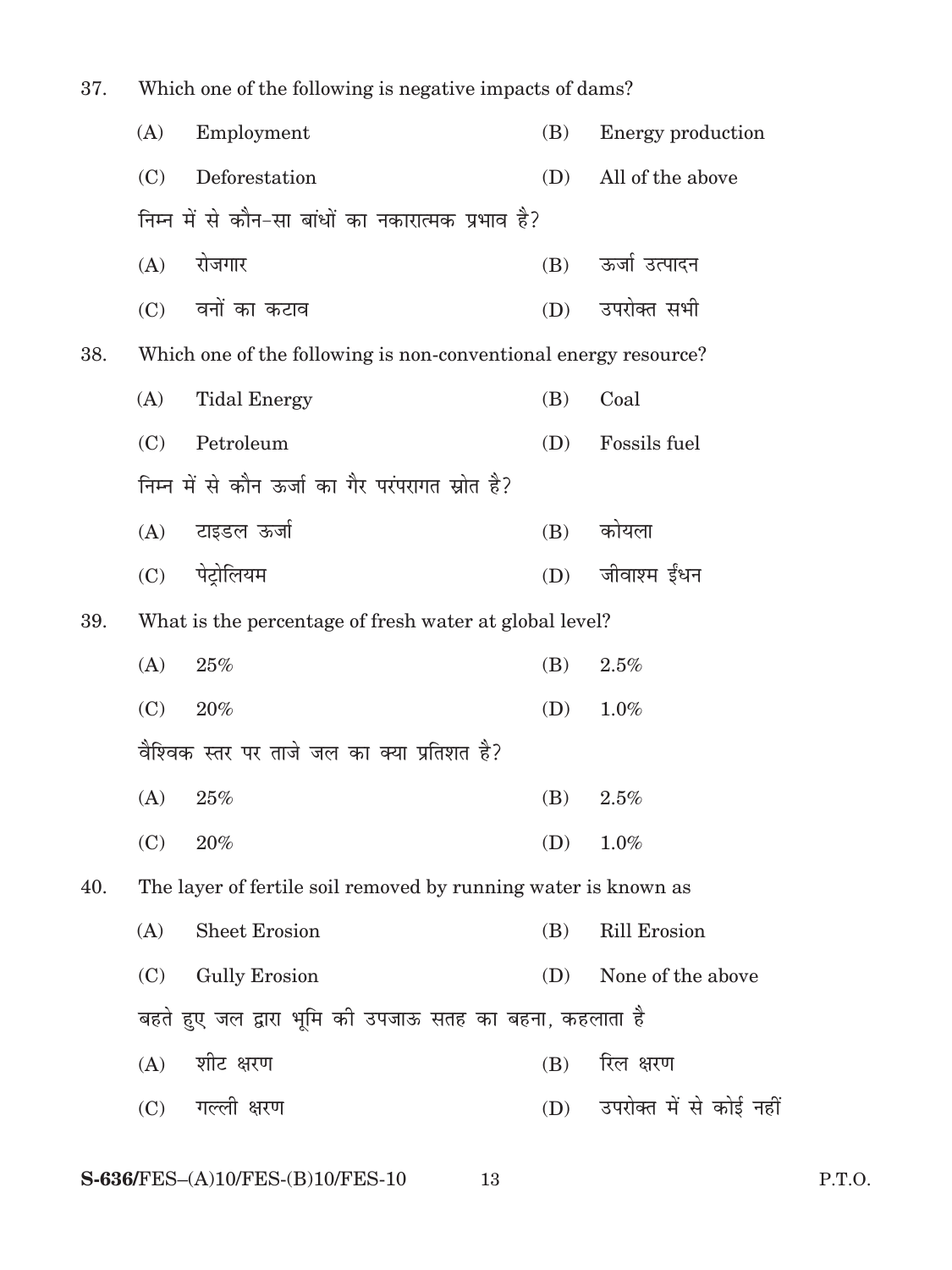| 37. | Which one of the following is negative impacts of dams? |                                                                 |     |                             |  |  |
|-----|---------------------------------------------------------|-----------------------------------------------------------------|-----|-----------------------------|--|--|
|     | (A)                                                     | Employment                                                      | (B) | Energy production           |  |  |
|     | (C)                                                     | Deforestation                                                   | (D) | All of the above            |  |  |
|     |                                                         | निम्न में से कौन-सा बांधों का नकारात्मक प्रभाव है?              |     |                             |  |  |
|     | (A)                                                     | रोजगार                                                          | (B) | ऊर्जा उत्पादन               |  |  |
|     |                                                         | (C) वनों का कटाव                                                | (D) | उपरोक्त सभी                 |  |  |
| 38. |                                                         | Which one of the following is non-conventional energy resource? |     |                             |  |  |
|     | (A)                                                     | <b>Tidal Energy</b>                                             | (B) | Coal                        |  |  |
|     | (C)                                                     | Petroleum                                                       | (D) | Fossils fuel                |  |  |
|     |                                                         | निम्न में से कौन ऊर्जा का गैर परंपरागत स्रोत है?                |     |                             |  |  |
|     | (A)                                                     | टाइडल ऊर्जा                                                     | (B) | कोयला                       |  |  |
|     | (C)                                                     | पेट्रोलियम                                                      | (D) | जीवाश्म ईंधन                |  |  |
| 39. |                                                         | What is the percentage of fresh water at global level?          |     |                             |  |  |
|     | (A)                                                     | 25%                                                             | (B) | 2.5%                        |  |  |
|     | (C)                                                     | 20%                                                             | (D) | 1.0%                        |  |  |
|     |                                                         | वैश्विक स्तर पर ताजे जल का क्या प्रतिशत है?                     |     |                             |  |  |
|     | (A)                                                     | 25%                                                             | (B) | $2.5\%$                     |  |  |
|     | (C)                                                     | 20%                                                             | (D) | 1.0%                        |  |  |
| 40. |                                                         | The layer of fertile soil removed by running water is known as  |     |                             |  |  |
|     | (A)                                                     | <b>Sheet Erosion</b>                                            | (B) | Rill Erosion                |  |  |
|     | (C)                                                     | <b>Gully Erosion</b>                                            | (D) | None of the above           |  |  |
|     |                                                         | बहते हुए जल द्वारा भूमि की उपजाऊ सतह का बहना, कहलाता है         |     |                             |  |  |
|     | (A)                                                     | शीट क्षरण                                                       | (B) | रिल क्षरण                   |  |  |
|     |                                                         | (C) गल्ली क्षरण                                                 |     | (D) उपरोक्त में से कोई नहीं |  |  |
|     |                                                         |                                                                 |     |                             |  |  |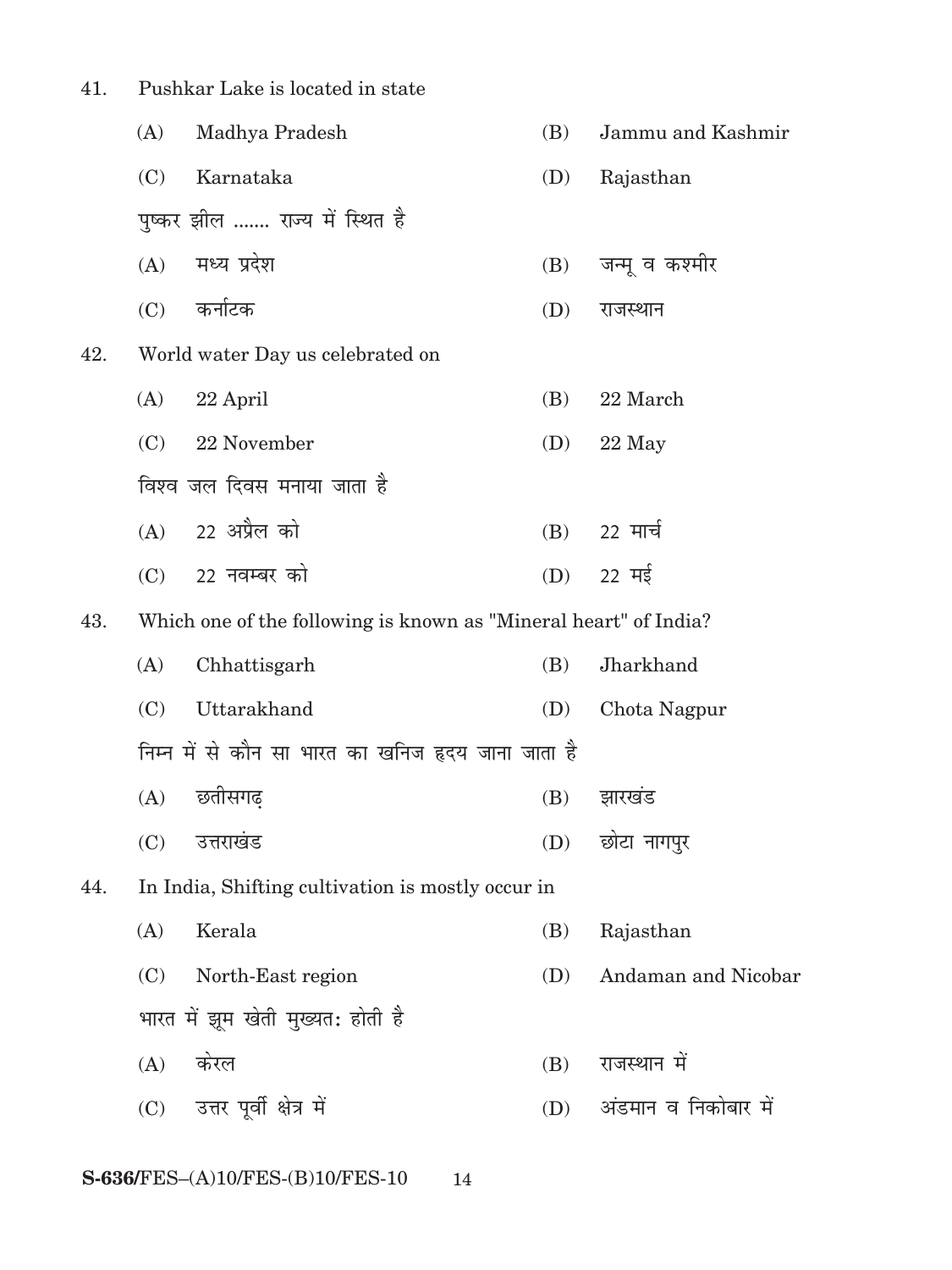| 41. | Pushkar Lake is located in state |                                                                  |     |                      |
|-----|----------------------------------|------------------------------------------------------------------|-----|----------------------|
|     | (A)                              | Madhya Pradesh                                                   | (B) | Jammu and Kashmir    |
|     | (C)                              | Karnataka                                                        | (D) | Rajasthan            |
|     |                                  | पुष्कर झील  राज्य में स्थित है                                   |     |                      |
|     | (A)                              | मध्य प्रदेश                                                      | (B) | जन्मू व कश्मीर       |
|     |                                  | $(C)$ कर्नाटक                                                    | (D) | राजस्थान             |
| 42. |                                  | World water Day us celebrated on                                 |     |                      |
|     | (A)                              | 22 April                                                         | (B) | 22 March             |
|     | (C)                              | 22 November                                                      | (D) | 22 May               |
|     |                                  | विश्व जल दिवस मनाया जाता है                                      |     |                      |
|     |                                  | (A) 22 अप्रैल को                                                 | (B) | 22 मार्च             |
|     | (C)                              | 22 नवम्बर को                                                     | (D) | 22 मई                |
| 43. |                                  | Which one of the following is known as "Mineral heart" of India? |     |                      |
|     | (A)                              | Chhattisgarh                                                     | (B) | Jharkhand            |
|     | (C)                              | Uttarakhand                                                      | (D) | Chota Nagpur         |
|     |                                  | निम्न में से कौन सा भारत का खनिज हृदय जाना जाता है               |     |                      |
|     |                                  | (A) छतीसगढ़                                                      |     | (B) झारखंड           |
|     | (C)                              | उत्तराखंड                                                        | (D) | छोटा नागपुर          |
| 44. |                                  | In India, Shifting cultivation is mostly occur in                |     |                      |
|     | (A)                              | Kerala                                                           | (B) | Rajasthan            |
|     | (C)                              | North-East region                                                | (D) | Andaman and Nicobar  |
|     |                                  | भारत में झूम खेती मुख्यत: होती है                                |     |                      |
|     | (A)                              | केरल                                                             | (B) | राजस्थान में         |
|     |                                  | (C) उत्तर पूर्वी क्षेत्र में                                     | (D) | अंडमान व निकोबार में |
|     |                                  |                                                                  |     |                      |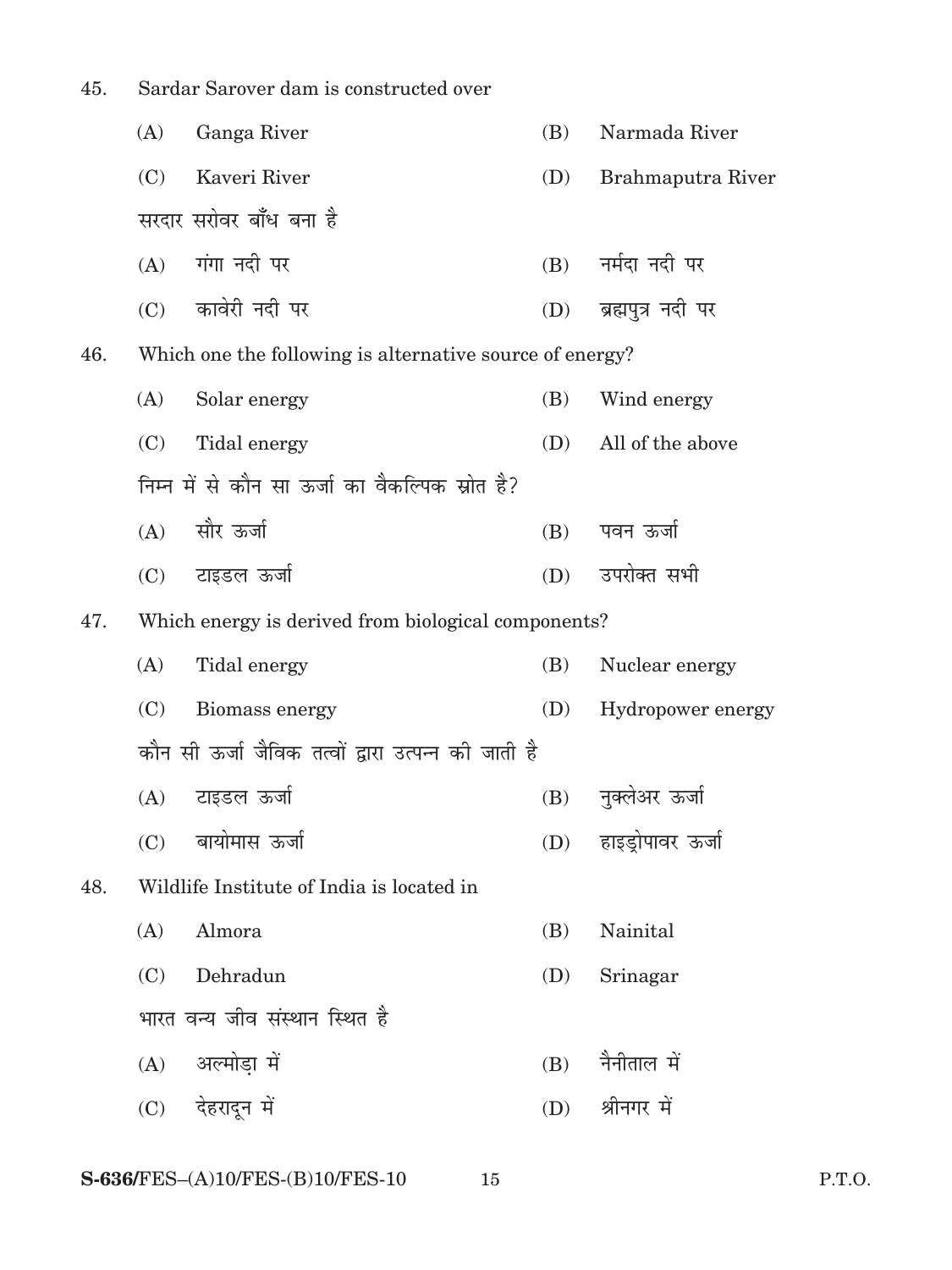45. Sardar Sarover dam is constructed over (A) Ganga River (B) Narmada River (C) Kaveri River (D) Brahmaputra River सरदार सरोवर बाँध बना है  $(A)$  गंगा नदी पर  $(B)$  नर्मदा नदी पर (C) कावेरी नदी पर (D) ब्रह्मपुत्र नदी पर 46. Which one the following is alternative source of energy? (A) Solar energy (B) Wind energy (C) Tidal energy (D) All of the above निम्न में से कौन सा ऊर्जा का वैकल्पिक स्रोत है? (A) lkSj ÅtkZ (B) iou ÅtkZ (C) टाइडल ऊर्जा (D) उपरोक्त सभी 47. Which energy is derived from biological components? (A) Tidal energy (B) Nuclear energy (C) Biomass energy (D) Hydropower energy कौन सी ऊर्जा जैविक तत्वों द्वारा उत्पन्न की जाती है  $(A)$  टाइडल ऊर्जा  $(B)$  नक्लेअर ऊर्जा (C) बायोमास ऊर्जा (D) हाइड़ोपावर ऊर्जा 48. Wildlife Institute of India is located in (A) Almora (B) Nainital (C) Dehradun (D) Srinagar भारत वन्य जीव संस्थान स्थित है  $(A)$  अल्मोडा में  $(B)$  नैनीताल में (C) देहरादून में (D) श्रीनगर में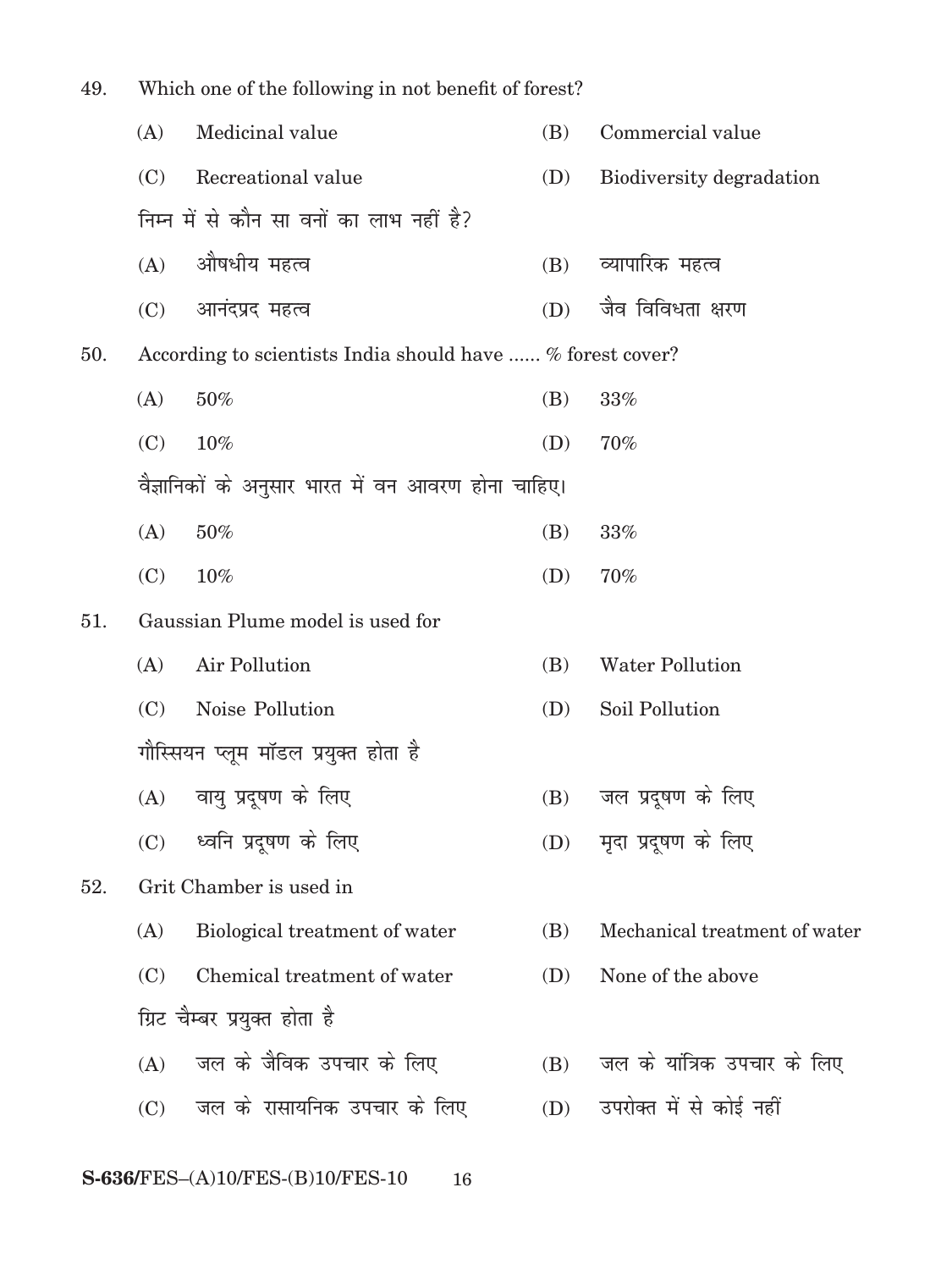| 49. | Which one of the following in not benefit of forest? |                                                            |     |                               |  |
|-----|------------------------------------------------------|------------------------------------------------------------|-----|-------------------------------|--|
|     | (A)                                                  | Medicinal value                                            | (B) | Commercial value              |  |
|     | (C)                                                  | Recreational value                                         | (D) | Biodiversity degradation      |  |
|     |                                                      | निम्न में से कौन सा वनों का लाभ नहीं है?                   |     |                               |  |
|     | (A)                                                  | औषधीय महत्व                                                | (B) | व्यापारिक महत्व               |  |
|     | (C)                                                  | आनंदप्रद महत्व                                             | (D) | जैव विविधता क्षरण             |  |
| 50. |                                                      | According to scientists India should have  % forest cover? |     |                               |  |
|     | (A)                                                  | 50%                                                        | (B) | 33%                           |  |
|     | (C)                                                  | 10%                                                        | (D) | 70%                           |  |
|     |                                                      | वैज्ञानिकों के अनुसार भारत में वन आवरण होना चाहिए।         |     |                               |  |
|     | (A)                                                  | 50%                                                        | (B) | 33%                           |  |
|     | (C)                                                  | 10%                                                        | (D) | 70%                           |  |
| 51. |                                                      | Gaussian Plume model is used for                           |     |                               |  |
|     | (A)                                                  | Air Pollution                                              | (B) | <b>Water Pollution</b>        |  |
|     | (C)                                                  | Noise Pollution                                            | (D) | Soil Pollution                |  |
|     |                                                      | गौस्सियन प्लूम मॉडल प्रयुक्त होता है                       |     |                               |  |
|     |                                                      | (A) वायु प्रदूषण के लिए                                    |     | (B) जल प्रदूषण के लिए         |  |
|     | (C)                                                  | ध्वनि प्रदूषण के लिए                                       | (D) | मृदा प्रदूषण के लिए           |  |
| 52. |                                                      | Grit Chamber is used in                                    |     |                               |  |
|     | (A)                                                  | Biological treatment of water                              | (B) | Mechanical treatment of water |  |
|     | (C)                                                  | Chemical treatment of water                                | (D) | None of the above             |  |
|     |                                                      | ग्रिट चैम्बर प्रयुक्त होता है                              |     |                               |  |
|     | (A)                                                  | जल के जैविक उपचार के लिए                                   | (B) | जल के यांत्रिक उपचार के लिए   |  |
|     | (C)                                                  | जल के रासायनिक उपचार के लिए                                | (D) | उपरोक्त में से कोई नहीं       |  |
|     |                                                      |                                                            |     |                               |  |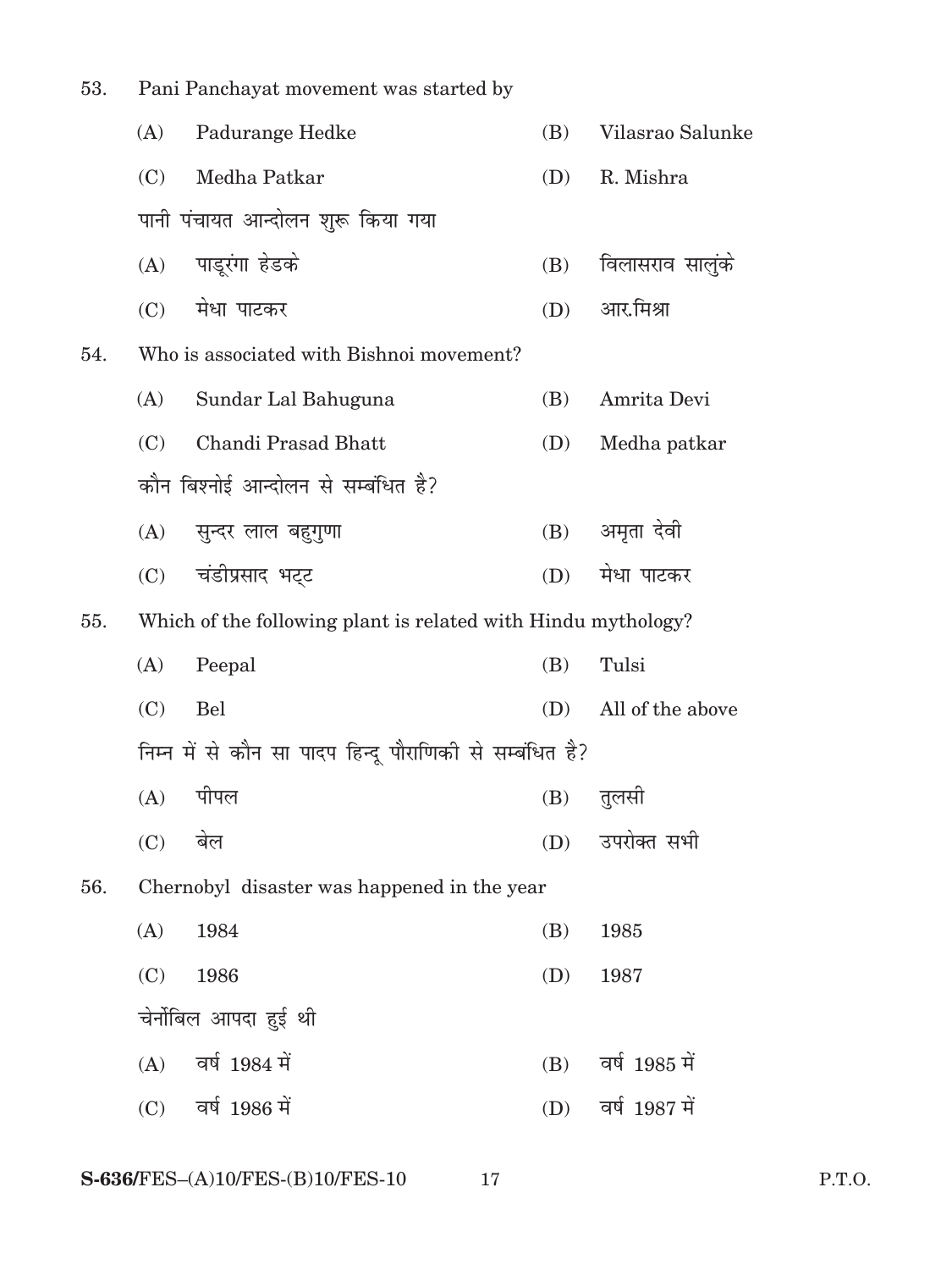| 53.<br>Pani Panchayat movement was started by |                     |                                                                                                                                                                                                                                                                         |                                                                                                                                                                                 |
|-----------------------------------------------|---------------------|-------------------------------------------------------------------------------------------------------------------------------------------------------------------------------------------------------------------------------------------------------------------------|---------------------------------------------------------------------------------------------------------------------------------------------------------------------------------|
| (A)                                           | Padurange Hedke     | (B)                                                                                                                                                                                                                                                                     | Vilasrao Salunke                                                                                                                                                                |
| (C)                                           | Medha Patkar        | (D)                                                                                                                                                                                                                                                                     | R. Mishra                                                                                                                                                                       |
|                                               |                     |                                                                                                                                                                                                                                                                         |                                                                                                                                                                                 |
|                                               |                     | (B)                                                                                                                                                                                                                                                                     | विलासराव सालुंके                                                                                                                                                                |
| (C)                                           |                     | (D)                                                                                                                                                                                                                                                                     | आर.मिश्रा                                                                                                                                                                       |
|                                               |                     |                                                                                                                                                                                                                                                                         |                                                                                                                                                                                 |
| (A)                                           | Sundar Lal Bahuguna | (B)                                                                                                                                                                                                                                                                     | Amrita Devi                                                                                                                                                                     |
| (C)                                           | Chandi Prasad Bhatt | (D)                                                                                                                                                                                                                                                                     | Medha patkar                                                                                                                                                                    |
|                                               |                     |                                                                                                                                                                                                                                                                         |                                                                                                                                                                                 |
|                                               |                     |                                                                                                                                                                                                                                                                         | अमृता देवी                                                                                                                                                                      |
|                                               |                     | (D)                                                                                                                                                                                                                                                                     | मेधा पाटकर                                                                                                                                                                      |
|                                               |                     |                                                                                                                                                                                                                                                                         |                                                                                                                                                                                 |
| (A)                                           | Peepal              | (B)                                                                                                                                                                                                                                                                     | Tulsi                                                                                                                                                                           |
| (C)                                           | Bel                 | (D)                                                                                                                                                                                                                                                                     | All of the above                                                                                                                                                                |
|                                               |                     |                                                                                                                                                                                                                                                                         |                                                                                                                                                                                 |
|                                               |                     | (B)                                                                                                                                                                                                                                                                     | तुलसी                                                                                                                                                                           |
| (C)                                           | बेल                 | (D)                                                                                                                                                                                                                                                                     | उपरोक्त सभी                                                                                                                                                                     |
|                                               |                     |                                                                                                                                                                                                                                                                         |                                                                                                                                                                                 |
| (A)                                           | 1984                | (B)                                                                                                                                                                                                                                                                     | 1985                                                                                                                                                                            |
| (C)                                           | 1986                | (D)                                                                                                                                                                                                                                                                     | 1987                                                                                                                                                                            |
|                                               |                     |                                                                                                                                                                                                                                                                         |                                                                                                                                                                                 |
| (A)                                           | वर्ष 1984 में       | (B)                                                                                                                                                                                                                                                                     | वर्ष 1985 में                                                                                                                                                                   |
| (C)                                           |                     | (D)                                                                                                                                                                                                                                                                     | वर्ष 1987 में                                                                                                                                                                   |
|                                               |                     | पानी पंचायत आन्दोलन शुरू किया गया<br>(A) पाडूरंगा हेडके<br>मेधा पाटकर<br>Who is associated with Bishnoi movement?<br>कौन बिश्नोई आन्दोलन से सम्बंधित है?<br>(A) सुन्दर लाल बहुगुणा<br>(C) चंडीप्रसाद भट्ट<br>(A) पीपल<br>चेर्नोबिल आपदा हुई थी<br>वर्ष 1986 मे <u>ं</u> | (B)<br>Which of the following plant is related with Hindu mythology?<br>निम्न में से कौन सा पादप हिन्दू पौराणिकी से सम्बंधित है?<br>Chernobyl disaster was happened in the year |

**S-636/FES–(A)10/FES-(B)10/FES-10 17 P.T.O.**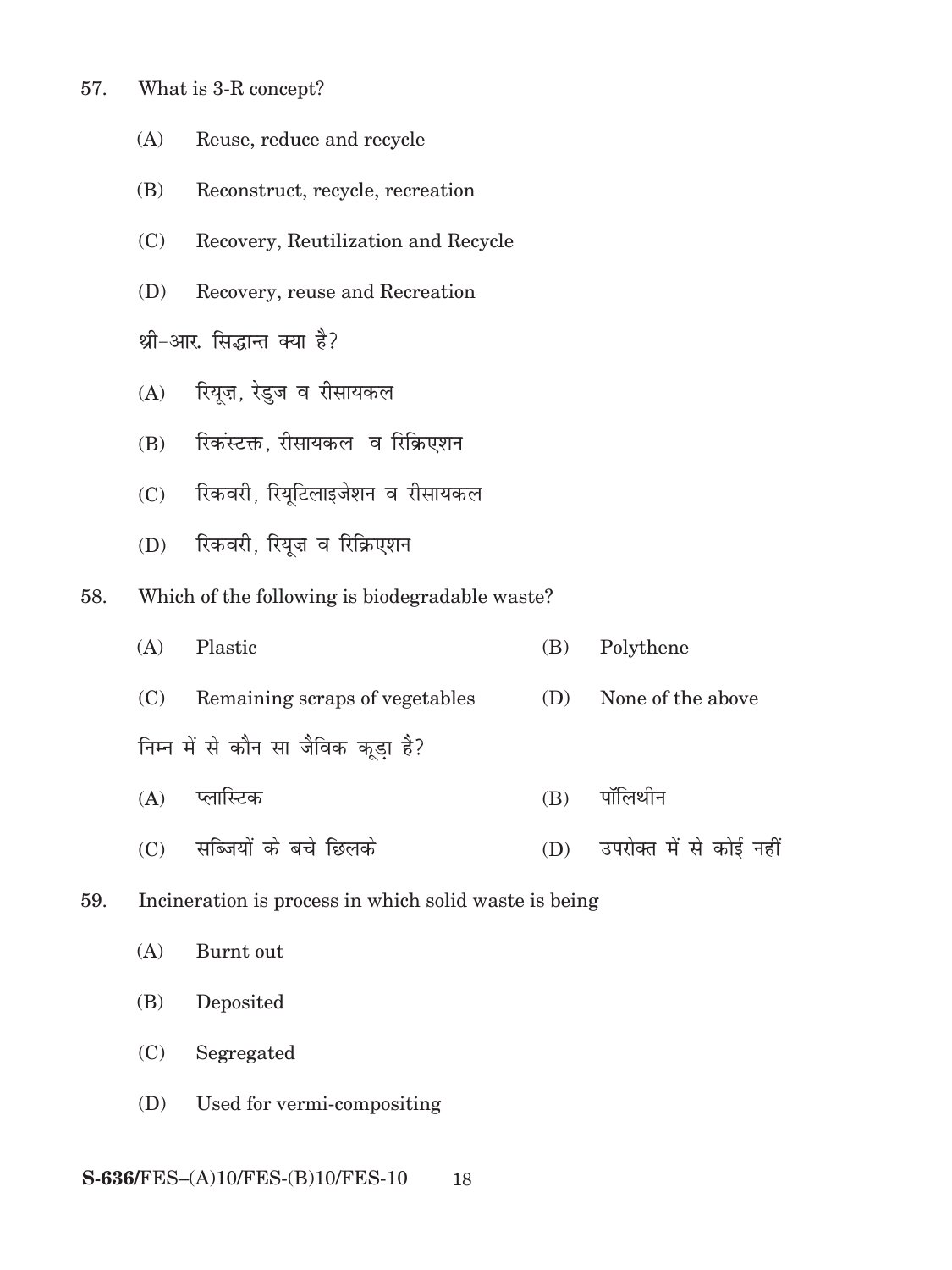- 57. What is 3-R concept?
	- (A) Reuse, reduce and recycle
	- (B) Reconstruct, recycle, recreation
	- (C) Recovery, Reutilization and Recycle
	- (D) Recovery, reuse and Recreation

थ्री-आर. सिद्धान्त क्या है?

- $(A)$  रियुज, रेडुज व रीसायकल
- (B) रिकस्टक्त, रीसायकल व रिक्रिएशन
- (C) रिकवरी, रियुटिलाइजेशन व रीसायकल
- (D) रिकवरी, रियूज़ व रिक्रिएशन
- 58. Which of the following is biodegradable waste?
	- (A) Plastic (B) Polythene (C) Remaining scraps of vegetables (D) None of the above निम्न में से कौन सा जैविक कूड़ा है? (A) IykfLVd (B) ikWfyFkhu
	- $(C)$  सब्जियों के बचे छिलके (D) उपरोक्त में से कोई नहीं
- 59. Incineration is process in which solid waste is being

(A) Burnt out

- (B) Deposited
- (C) Segregated
- (D) Used for vermi-compositing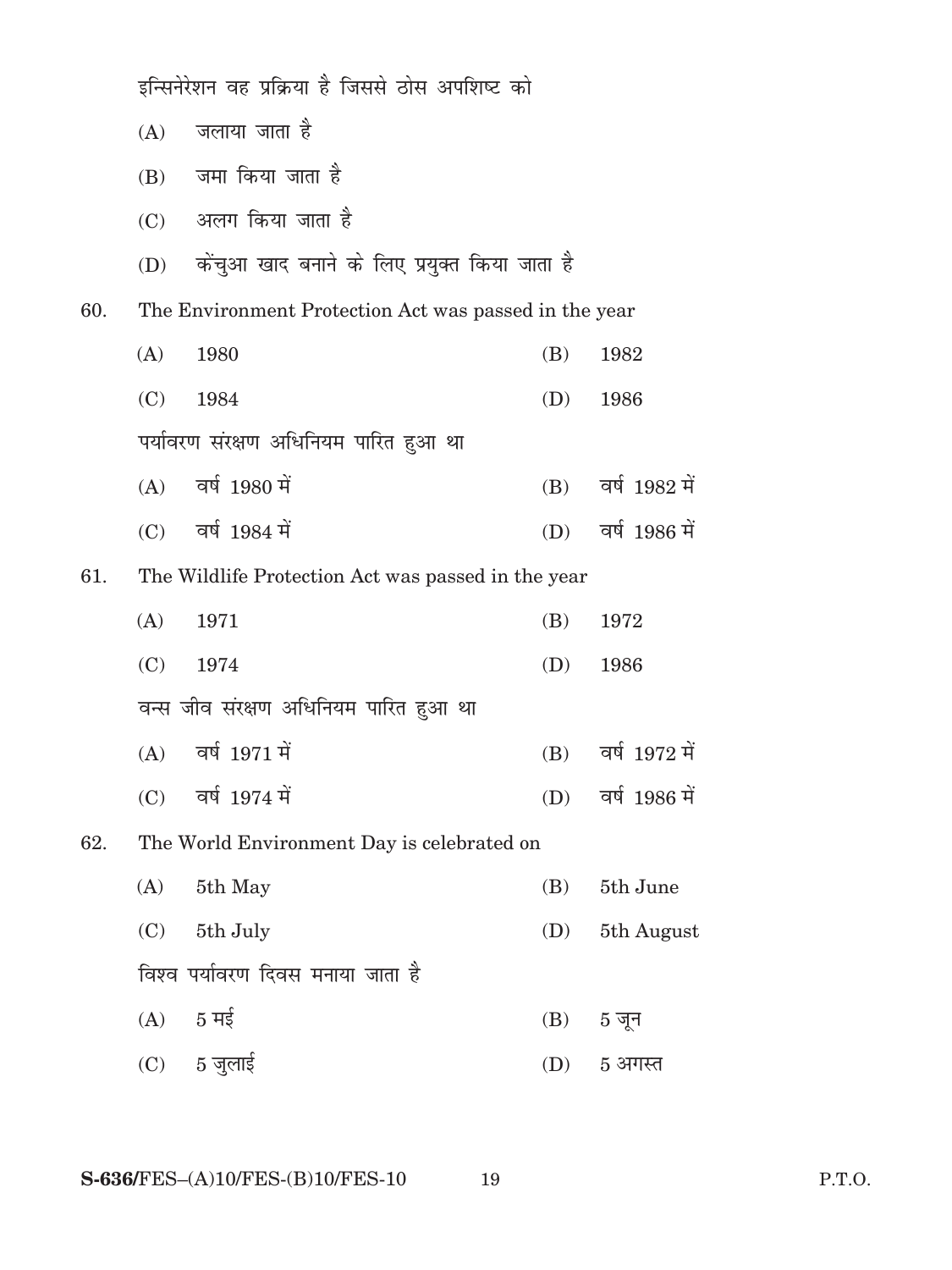|     | इन्सिनेरेशन वह प्रक्रिया है जिससे ठोस अपशिष्ट को   |                                                       |     |                     |  |
|-----|----------------------------------------------------|-------------------------------------------------------|-----|---------------------|--|
|     | (A)                                                | जलाया जाता है                                         |     |                     |  |
|     |                                                    | $(B)$ जमा किया जाता है                                |     |                     |  |
|     |                                                    | (C) अलग किया जाता है                                  |     |                     |  |
|     | (D)                                                | केंचुआ खाद बनाने के लिए प्रयुक्त किया जाता है         |     |                     |  |
| 60. |                                                    | The Environment Protection Act was passed in the year |     |                     |  |
|     | (A)                                                | 1980                                                  | (B) | 1982                |  |
|     | (C)                                                | 1984                                                  | (D) | 1986                |  |
|     |                                                    | पर्यावरण संरक्षण अधिनियम पारित हुआ था                 |     |                     |  |
|     |                                                    | $(A)$ वर्ष 1980 में                                   |     | (B) वर्ष 1982 में   |  |
|     |                                                    | $(C)$ वर्ष 1984 में                                   |     | (D) वर्ष 1986 में   |  |
| 61. | The Wildlife Protection Act was passed in the year |                                                       |     |                     |  |
|     | (A)                                                | 1971                                                  | (B) | 1972                |  |
|     | (C)                                                | 1974                                                  | (D) | 1986                |  |
|     |                                                    | वन्स जीव संरक्षण अधिनियम पारित हुआ था                 |     |                     |  |
|     |                                                    | $(A)$ वर्ष 1971 में                                   |     | $(B)$ वर्ष 1972 में |  |
|     |                                                    | $(C)$ वर्ष 1974 में                                   |     | (D) वर्ष 1986 में   |  |
| 62. |                                                    | The World Environment Day is celebrated on            |     |                     |  |
|     | (A)                                                | 5th May                                               | (B) | 5th June            |  |
|     | (C)                                                | 5th July                                              | (D) | 5th August          |  |
|     |                                                    | विश्व पर्यावरण दिवस मनाया जाता है                     |     |                     |  |
|     |                                                    | $(A)$ 5 मई                                            | (B) | 5 जून               |  |
|     |                                                    | $(C)$ 5 जुलाई                                         | (D) | 5 अगस्त             |  |
|     |                                                    |                                                       |     |                     |  |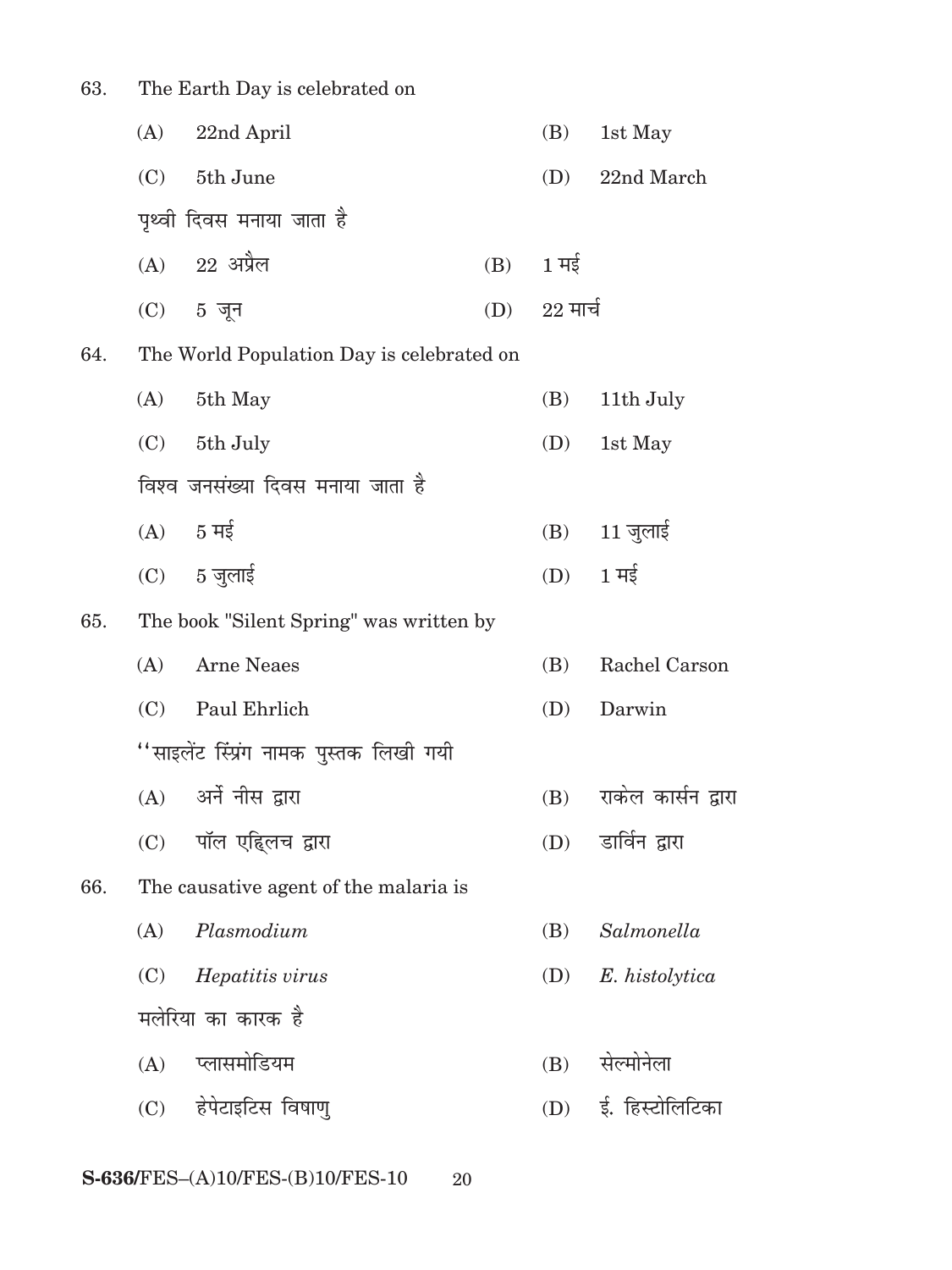| 63. |     | The Earth Day is celebrated on            |     |                    |                              |
|-----|-----|-------------------------------------------|-----|--------------------|------------------------------|
|     | (A) | 22nd April                                |     | (B)                | 1st May                      |
|     | (C) | 5th June                                  |     | (D)                | 22nd March                   |
|     |     | पृथ्वी दिवस मनाया जाता है                 |     |                    |                              |
|     |     | $(A)$ 22 अप्रैल                           | (B) | $1 \overline{H}$ ई |                              |
|     |     | $(C)$ 5 जून                               |     | $(D)$ 22 मार्च     |                              |
| 64. |     | The World Population Day is celebrated on |     |                    |                              |
|     | (A) | 5th May                                   |     | (B)                | 11th July                    |
|     |     | $(C)$ 5th July                            |     | (D)                | 1st May                      |
|     |     | विश्व जनसंख्या दिवस मनाया जाता है         |     |                    |                              |
|     |     | $(A)$ 5 मई                                |     | (B)                | $11 \overline{\text{g}}$ लाई |
|     |     | $(C)$ 5 जुलाई                             |     | (D)                | $1 \overline{4}$             |
| 65. |     | The book "Silent Spring" was written by   |     |                    |                              |
|     | (A) | <b>Arne Neaes</b>                         |     | (B)                | Rachel Carson                |
|     | (C) | Paul Ehrlich                              |     | (D)                | Darwin                       |
|     |     | ''साइलेंट स्प्रिंग नामक पुस्तक लिखी गयी   |     |                    |                              |
|     |     | (A) अर्ने नीस द्वारा                      |     |                    | (B) राकेल कार्सन द्वारा      |
|     |     | (C) पॉल एहिलच द्वारा                      |     | (D)                | डार्विन द्वारा               |
| 66. |     | The causative agent of the malaria is     |     |                    |                              |
|     | (A) | Plasmodium                                |     | (B)                | Salmonella                   |
|     | (C) | Hepatitis virus                           |     | (D)                | E. histolytica               |
|     |     | मलेरिया का कारक है                        |     |                    |                              |
|     |     | (A) प्लासमोडियम                           |     | (B)                | सेल्मोनेला                   |
|     |     | (C) हेपेटाइटिस विषाणु                     |     | (D)                | ई. हिस्टोलिटिका              |
|     |     |                                           |     |                    |                              |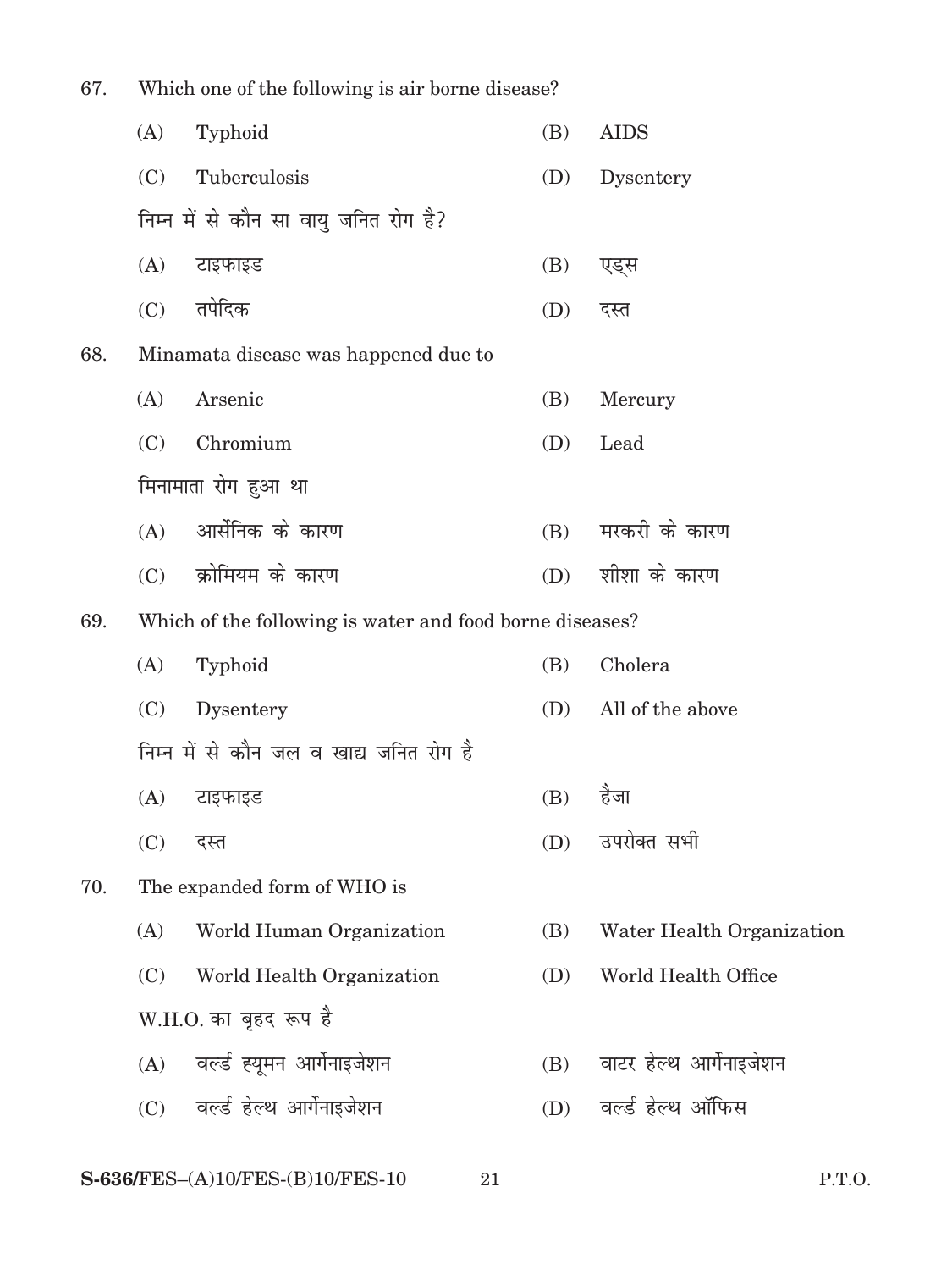| 67.<br>Which one of the following is air borne disease? |     |                                                          |     |                           |
|---------------------------------------------------------|-----|----------------------------------------------------------|-----|---------------------------|
|                                                         | (A) | Typhoid                                                  | (B) | <b>AIDS</b>               |
|                                                         | (C) | Tuberculosis                                             | (D) | Dysentery                 |
|                                                         |     | निम्न में से कौन सा वायु जनित रोग है?                    |     |                           |
|                                                         | (A) | टाइफाइड                                                  | (B) | एड्स                      |
|                                                         | (C) | तपेदिक                                                   | (D) | दस्त                      |
| 68.                                                     |     | Minamata disease was happened due to                     |     |                           |
|                                                         | (A) | Arsenic                                                  | (B) | Mercury                   |
|                                                         | (C) | Chromium                                                 | (D) | Lead                      |
|                                                         |     | मिनामाता रोग हुआ था                                      |     |                           |
|                                                         | (A) | आर्सेनिक के कारण                                         | (B) | मरकरी के कारण             |
|                                                         | (C) | क्रोमियम के कारण                                         | (D) | शीशा के कारण              |
| 69.                                                     |     | Which of the following is water and food borne diseases? |     |                           |
|                                                         | (A) | Typhoid                                                  | (B) | Cholera                   |
|                                                         | (C) | Dysentery                                                | (D) | All of the above          |
|                                                         |     | निम्न में से कौन जल व खाद्य जनित रोग है                  |     |                           |
|                                                         | (A) | टाइफाइड                                                  | (B) | हैजा                      |
|                                                         | (C) | दस्त                                                     | (D) | उपरोक्त सभी               |
| 70.                                                     |     | The expanded form of WHO is                              |     |                           |
|                                                         | (A) | World Human Organization                                 | (B) | Water Health Organization |
|                                                         | (C) | World Health Organization                                | (D) | World Health Office       |
|                                                         |     | W.H.O. का बृहद रूप है                                    |     |                           |
|                                                         | (A) | वर्ल्ड ह्यूमन आर्गेनाइजेशन                               | (B) | वाटर हेल्थ आर्गेनाइजेशन   |
|                                                         |     | (C) वर्ल्ड हेल्थ आर्गेनाइजेशन                            | (D) | वर्ल्ड हेल्थ ऑफिस         |
|                                                         |     |                                                          |     |                           |

**S-636/FES–(A)10/FES-(B)10/FES-10 21 P.T.O.**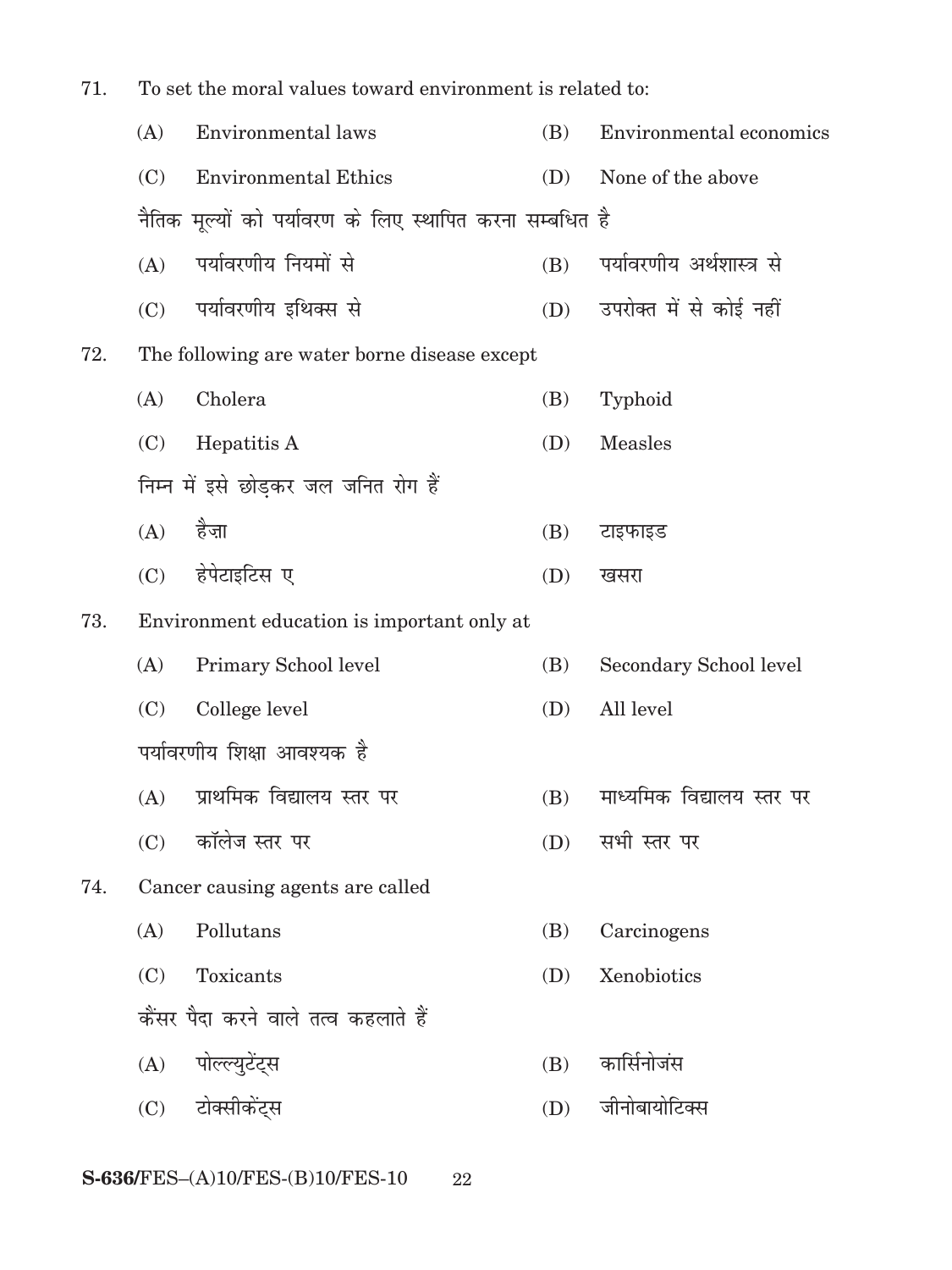| 71. | To set the moral values toward environment is related to: |                                                          |     |                           |
|-----|-----------------------------------------------------------|----------------------------------------------------------|-----|---------------------------|
|     | (A)                                                       | Environmental laws                                       | (B) | Environmental economics   |
|     | (C)                                                       | <b>Environmental Ethics</b>                              | (D) | None of the above         |
|     |                                                           | नैतिक मूल्यों को पर्यावरण के लिए स्थापित करना सम्बधित है |     |                           |
|     | (A)                                                       | पर्यावरणीय नियमों से                                     | (B) | पर्यावरणीय अर्थशास्त्र से |
|     | (C)                                                       | पर्यावरणीय इथिक्स से                                     | (D) | उपरोक्त में से कोई नहीं   |
| 72. |                                                           | The following are water borne disease except             |     |                           |
|     | (A)                                                       | Cholera                                                  | (B) | Typhoid                   |
|     | (C)                                                       | Hepatitis A                                              | (D) | <b>Measles</b>            |
|     |                                                           | निम्न में इसे छोड़कर जल जनित रोग हैं                     |     |                           |
|     | (A)                                                       | हैजा                                                     | (B) | टाइफाइड                   |
|     | (C)                                                       | हेपेटाइटिस ए                                             | (D) | खसरा                      |
| 73. |                                                           | Environment education is important only at               |     |                           |
|     | (A)                                                       | Primary School level                                     | (B) | Secondary School level    |
|     | (C)                                                       | College level                                            | (D) | All level                 |
|     |                                                           | पर्यावरणीय शिक्षा आवश्यक है                              |     |                           |
|     | (A)                                                       | प्राथमिक विद्यालय स्तर पर                                | (B) | माध्यमिक विद्यालय स्तर पर |
|     | (C)                                                       | कॉलेज स्तर पर                                            | (D) | सभी स्तर पर               |
| 74. |                                                           | Cancer causing agents are called                         |     |                           |
|     | (A)                                                       | Pollutans                                                | (B) | Carcinogens               |
|     | (C)                                                       | Toxicants                                                | (D) | Xenobiotics               |
|     |                                                           | कैंसर पैदा करने वाले तत्व कहलाते हैं                     |     |                           |
|     | (A)                                                       | पोल्ल्युटेंट्स                                           | (B) | कार्सिनोजंस               |
|     |                                                           | (C) टोक्सीकेंट्स                                         | (D) | जीनोबायोटिक्स             |
|     |                                                           |                                                          |     |                           |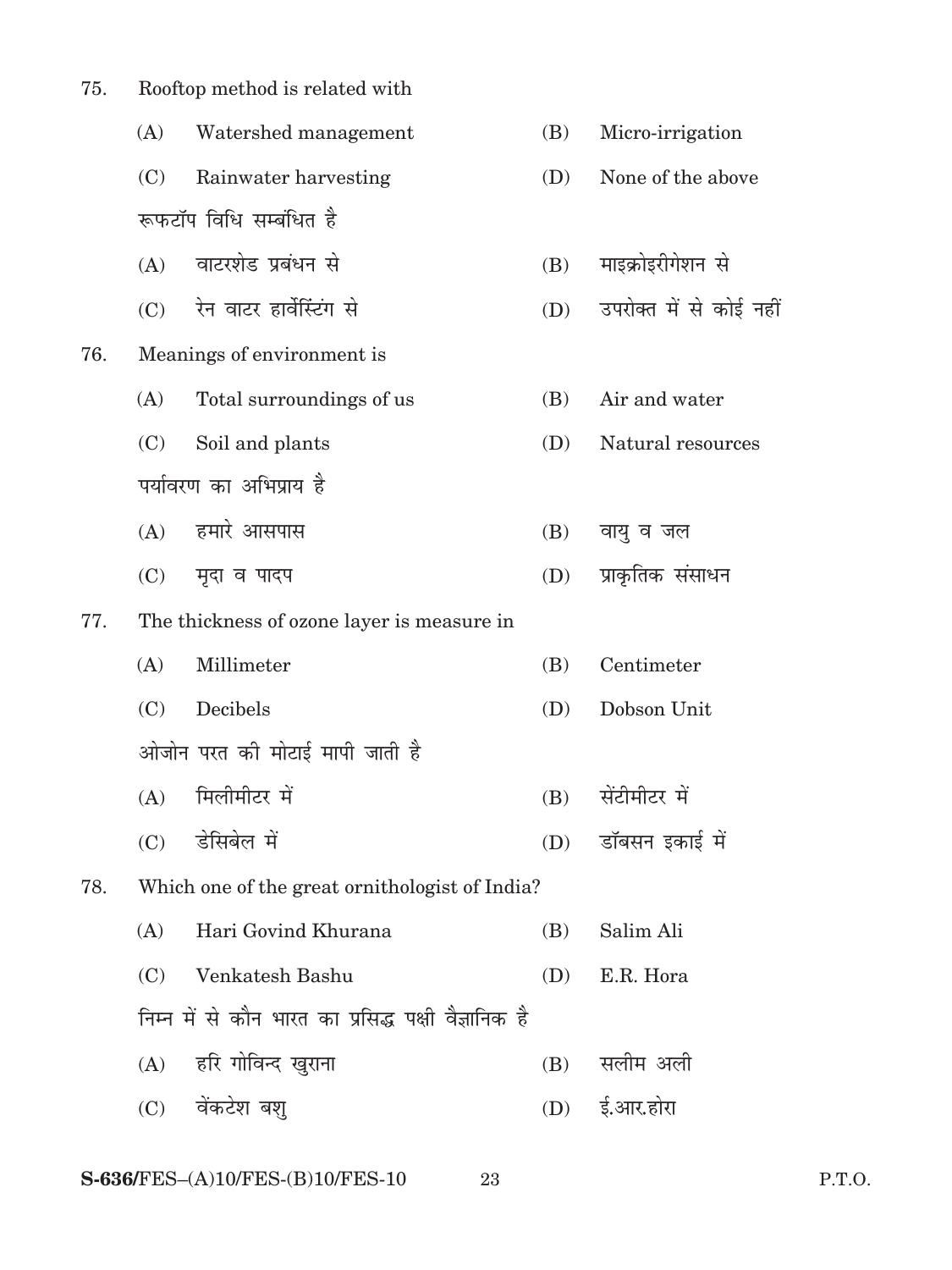| 75. | Rooftop method is related with |                                                      |     |                         |  |  |
|-----|--------------------------------|------------------------------------------------------|-----|-------------------------|--|--|
|     | (A)                            | Watershed management                                 | (B) | Micro-irrigation        |  |  |
|     | (C)                            | Rainwater harvesting                                 | (D) | None of the above       |  |  |
|     |                                | रूफटॉप विधि सम्बंधित है                              |     |                         |  |  |
|     |                                | (A) वाटरशेड प्रबंधन से                               | (B) | माइक्रोइरीगेशन से       |  |  |
|     |                                | (C) रेन वाटर हार्वेस्टिंग से                         | (D) | उपरोक्त में से कोई नहीं |  |  |
| 76. |                                | Meanings of environment is                           |     |                         |  |  |
|     | (A)                            | Total surroundings of us                             | (B) | Air and water           |  |  |
|     | (C)                            | Soil and plants                                      | (D) | Natural resources       |  |  |
|     |                                | पर्यावरण का अभिप्राय है                              |     |                         |  |  |
|     |                                | (A) हमारे आसपास                                      | (B) | वायु व जल               |  |  |
|     | (C)                            | मृदा व पादप                                          | (D) | प्राकृतिक संसाधन        |  |  |
| 77. |                                | The thickness of ozone layer is measure in           |     |                         |  |  |
|     | (A)                            | Millimeter                                           | (B) | Centimeter              |  |  |
|     | (C)                            | Decibels                                             | (D) | Dobson Unit             |  |  |
|     |                                | ओजोन परत की मोटाई मापी जाती है                       |     |                         |  |  |
|     |                                | (A) मिलीमीटर में                                     |     | (B) सेंटीमीटर में       |  |  |
|     | (C)                            | डेसिबेल में                                          | (D) | डॉबसन इकाई में          |  |  |
| 78. |                                | Which one of the great ornithologist of India?       |     |                         |  |  |
|     | (A)                            | Hari Govind Khurana                                  | (B) | Salim Ali               |  |  |
|     | (C)                            | Venkatesh Bashu                                      | (D) | E.R. Hora               |  |  |
|     |                                | निम्न में से कौन भारत का प्रसिद्ध पक्षी वैज्ञानिक है |     |                         |  |  |
|     |                                | (A) हरि गोविन्द खुराना                               | (B) | सलीम अली                |  |  |
|     |                                | (C) वेंकटेश बश्                                      |     | (D) ई.आर.होरा           |  |  |
|     |                                |                                                      |     |                         |  |  |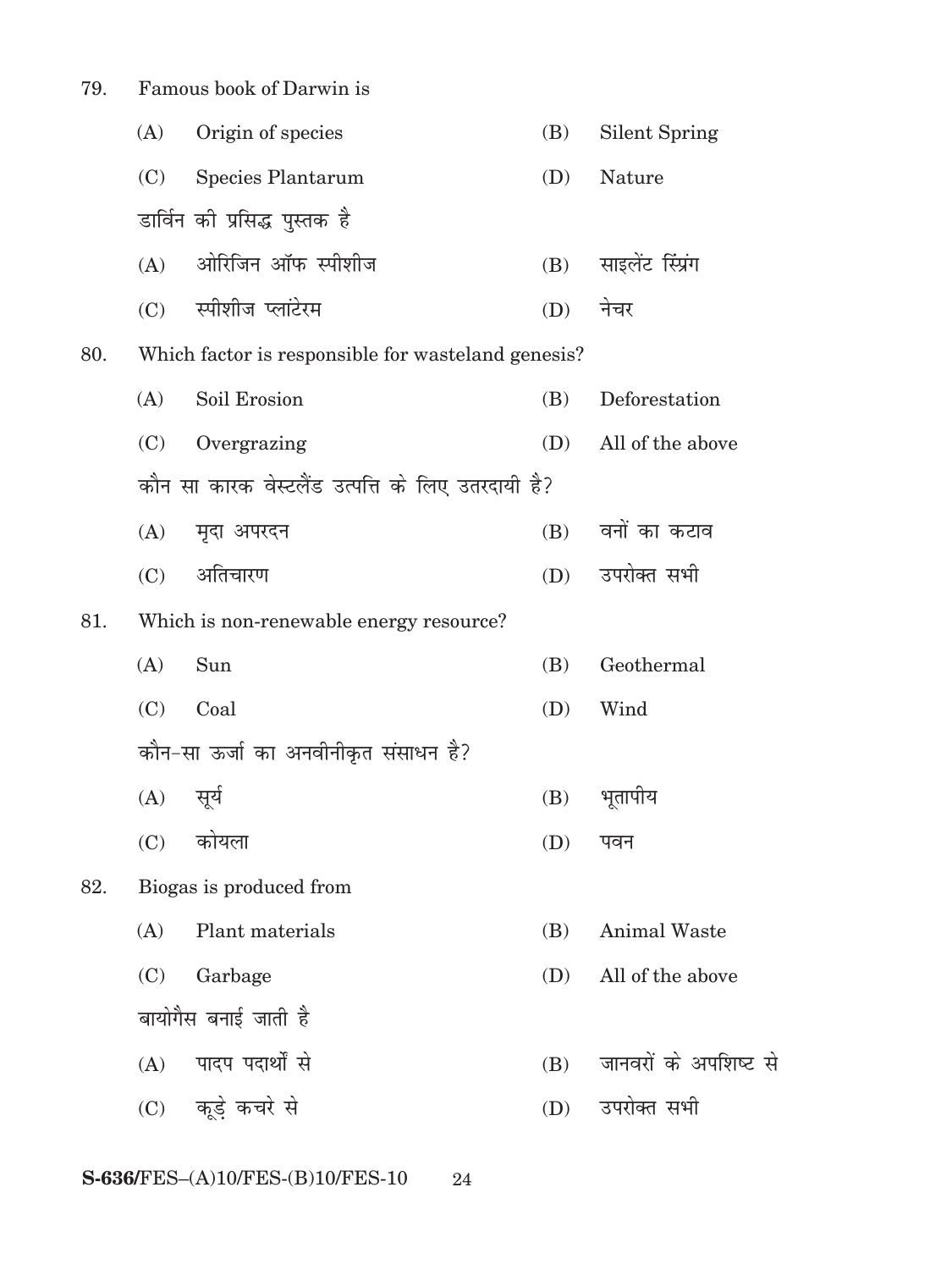79. Famous book of Darwin is

|     | (A) | Origin of species                                  | (B) | <b>Silent Spring</b>  |
|-----|-----|----------------------------------------------------|-----|-----------------------|
|     | (C) | Species Plantarum                                  | (D) | Nature                |
|     |     | डार्विन को प्रसिद्ध पुस्तक है                      |     |                       |
|     | (A) | ओरिजिन ऑफ स्पीशीज                                  | (B) | साइलेंट स्प्रिंग      |
|     | (C) | स्पीशीज प्लांटेरम                                  | (D) | नेचर                  |
| 80. |     | Which factor is responsible for wasteland genesis? |     |                       |
|     | (A) | Soil Erosion                                       | (B) | Deforestation         |
|     | (C) | Overgrazing                                        | (D) | All of the above      |
|     |     | कौन सा कारक वेस्टलैंड उत्पत्ति के लिए उतरदायी है?  |     |                       |
|     | (A) | मृदा अपरदन                                         | (B) | वनों का कटाव          |
|     | (C) | अतिचारण                                            |     | (D) उपरोक्त सभी       |
| 81. |     | Which is non-renewable energy resource?            |     |                       |
|     | (A) | Sun                                                | (B) | Geothermal            |
|     | (C) | Coal                                               | (D) | Wind                  |
|     |     | कौन-सा ऊर्जा का अनवीनीकृत संसाधन है?               |     |                       |
|     | (A) | सूर्य                                              | (B) | भूतापीय               |
|     | (C) | कोयला                                              | (D) | पवन                   |
| 82. |     | Biogas is produced from                            |     |                       |
|     | (A) | Plant materials                                    | (B) | <b>Animal Waste</b>   |
|     | (C) | Garbage                                            | (D) | All of the above      |
|     |     | बायोगैस बनाई जाती है                               |     |                       |
|     | (A) | पादप पदार्थों से                                   | (B) | जानवरों के अपशिष्ट से |
|     |     | (C) कूड़े कचरे से                                  | (D) | उपरोक्त सभी           |
|     |     |                                                    |     |                       |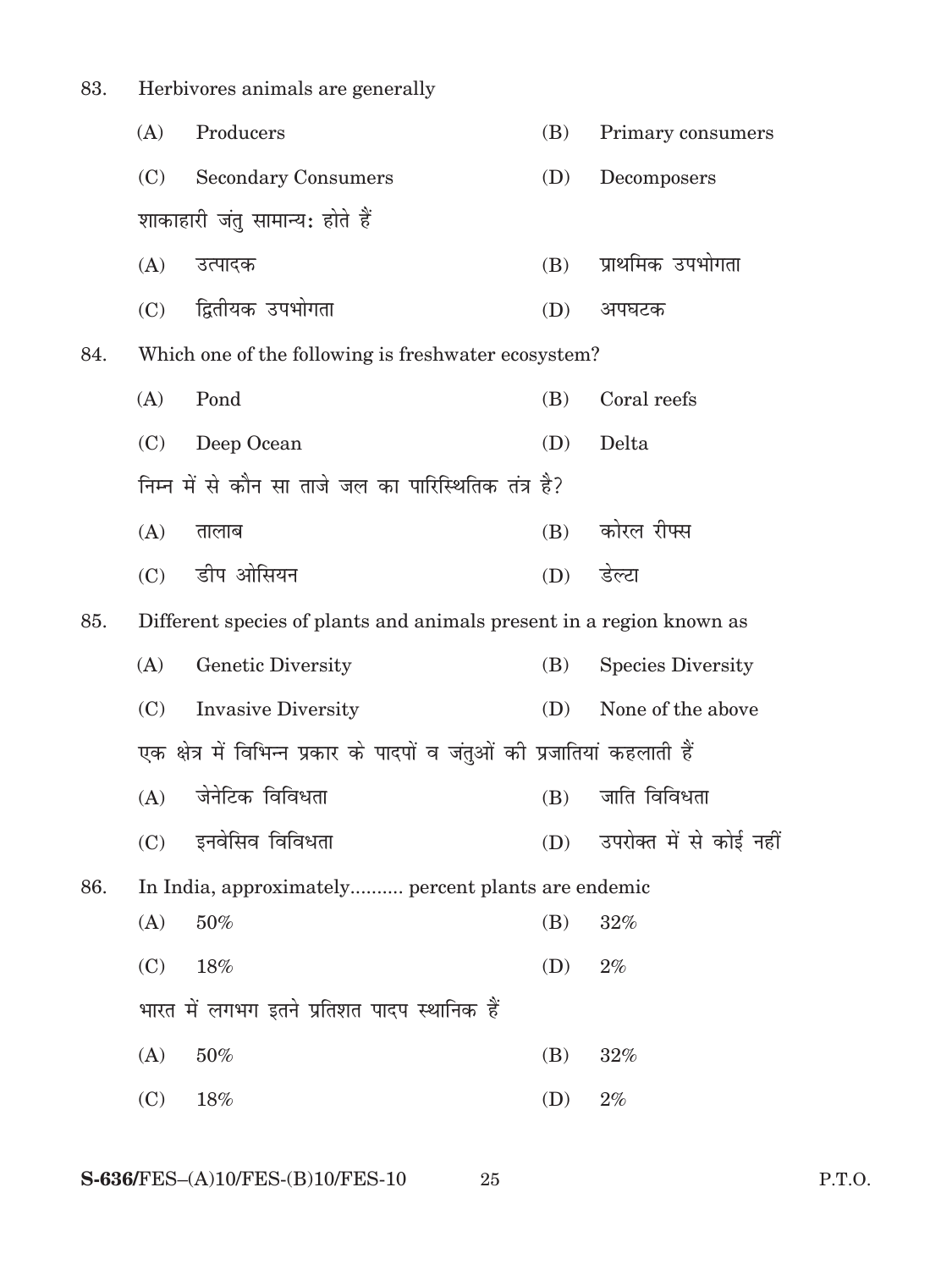| 83. |                                                                           | Herbivores animals are generally                                     |     |                          |  |  |
|-----|---------------------------------------------------------------------------|----------------------------------------------------------------------|-----|--------------------------|--|--|
|     | (A)                                                                       | Producers                                                            | (B) | Primary consumers        |  |  |
|     | (C)                                                                       | <b>Secondary Consumers</b>                                           | (D) | Decomposers              |  |  |
|     |                                                                           | शाकाहारी जंतु सामान्य: होते हैं                                      |     |                          |  |  |
|     | (A)                                                                       | उत्पादक                                                              | (B) | प्राथमिक उपभोगता         |  |  |
|     | (C)                                                                       | द्वितीयक उपभोगता                                                     | (D) | अपघटक                    |  |  |
| 84. |                                                                           | Which one of the following is freshwater ecosystem?                  |     |                          |  |  |
|     | (A)                                                                       | Pond                                                                 | (B) | Coral reefs              |  |  |
|     | (C)                                                                       | Deep Ocean                                                           | (D) | Delta                    |  |  |
|     |                                                                           | निम्न में से कौन सा ताजे जल का पारिस्थितिक तंत्र है?                 |     |                          |  |  |
|     | (A)                                                                       | तालाब                                                                | (B) | कोरल रीफ्स               |  |  |
|     | (C)                                                                       | डीप ओसियन                                                            | (D) | डेल्टा                   |  |  |
| 85. |                                                                           | Different species of plants and animals present in a region known as |     |                          |  |  |
|     | (A)                                                                       | Genetic Diversity                                                    | (B) | <b>Species Diversity</b> |  |  |
|     | (C)                                                                       | <b>Invasive Diversity</b>                                            | (D) | None of the above        |  |  |
|     | एक क्षेत्र में विभिन्न प्रकार के पादपों व जंतुओं की प्रजातियां कहलाती हैं |                                                                      |     |                          |  |  |
|     |                                                                           | (A) जेनेटिक विविधता                                                  |     | (B) जाति विविधता         |  |  |
|     | (C)                                                                       | इनवेसिव विविधता                                                      | (D) | उपरोक्त में से कोई नहीं  |  |  |
| 86. |                                                                           | In India, approximately percent plants are endemic                   |     |                          |  |  |
|     | (A)                                                                       | 50%                                                                  | (B) | 32%                      |  |  |
|     | (C)                                                                       | 18%                                                                  | (D) | $2\%$                    |  |  |
|     |                                                                           | भारत में लगभग इतने प्रतिशत पादप स्थानिक हैं                          |     |                          |  |  |
|     | (A)                                                                       | $50\%$                                                               | (B) | 32%                      |  |  |
|     | (C)                                                                       | 18%                                                                  | (D) | $2\%$                    |  |  |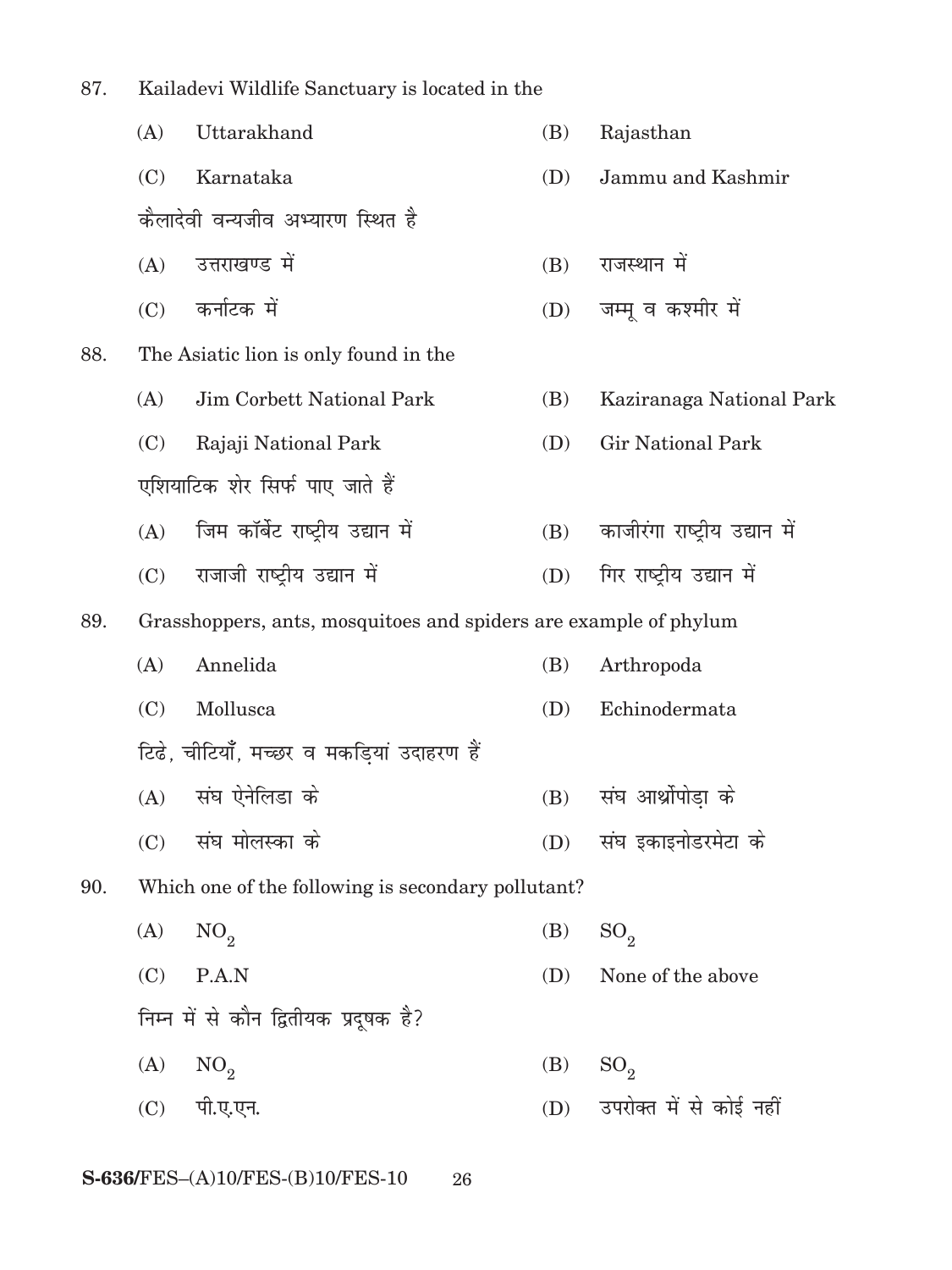87. Kailadevi Wildlife Sanctuary is located in the

|     | (A) | Uttarakhand                                                      | (B) | Rajasthan                     |
|-----|-----|------------------------------------------------------------------|-----|-------------------------------|
|     | (C) | Karnataka                                                        | (D) | Jammu and Kashmir             |
|     |     | कैलादेवी वन्यजीव अभ्यारण स्थित है                                |     |                               |
|     | (A) | उत्तराखण्ड में                                                   | (B) | राजस्थान में                  |
|     | (C) | कर्नाटक में                                                      | (D) | जम्मू व कश्मीर में            |
| 88. |     | The Asiatic lion is only found in the                            |     |                               |
|     | (A) | Jim Corbett National Park                                        | (B) | Kaziranaga National Park      |
|     | (C) | Rajaji National Park                                             | (D) | <b>Gir National Park</b>      |
|     |     | एशियाटिक शेर सिर्फ पाए जाते हैं                                  |     |                               |
|     | (A) | जिम कॉर्बेट राष्ट्रीय उद्यान में                                 | (B) | काजीरंगा राष्ट्रीय उद्यान में |
|     | (C) | राजाजी राष्ट्रीय उद्यान में                                      | (D) | गिर राष्ट्रीय उद्यान में      |
| 89. |     | Grasshoppers, ants, mosquitoes and spiders are example of phylum |     |                               |
|     | (A) | Annelida                                                         | (B) | Arthropoda                    |
|     | (C) | Mollusca                                                         | (D) | Echinodermata                 |
|     |     | टिढे, चीटियाँ, मच्छर व मकडियां उदाहरण हैं                        |     |                               |
|     | (A) | संघ ऐनेलिडा के                                                   | (B) | संघ आर्थ्रोपोड़ा के           |
|     | (C) | संघ मोलस्का के                                                   | (D) | संघ इकाइनोडरमेटा के           |
| 90. |     | Which one of the following is secondary pollutant?               |     |                               |
|     | (A) | NO <sub>2</sub>                                                  | (B) | SO <sub>2</sub>               |
|     | (C) | P.A.N                                                            | (D) | None of the above             |
|     |     | निम्न में से कौन द्वितीयक प्रदूषक है?                            |     |                               |
|     | (A) | NO <sub>2</sub>                                                  | (B) | SO <sub>2</sub>               |
|     | (C) | पी.ए.एन.                                                         | (D) | उपरोक्त में से कोई नहीं       |
|     |     |                                                                  |     |                               |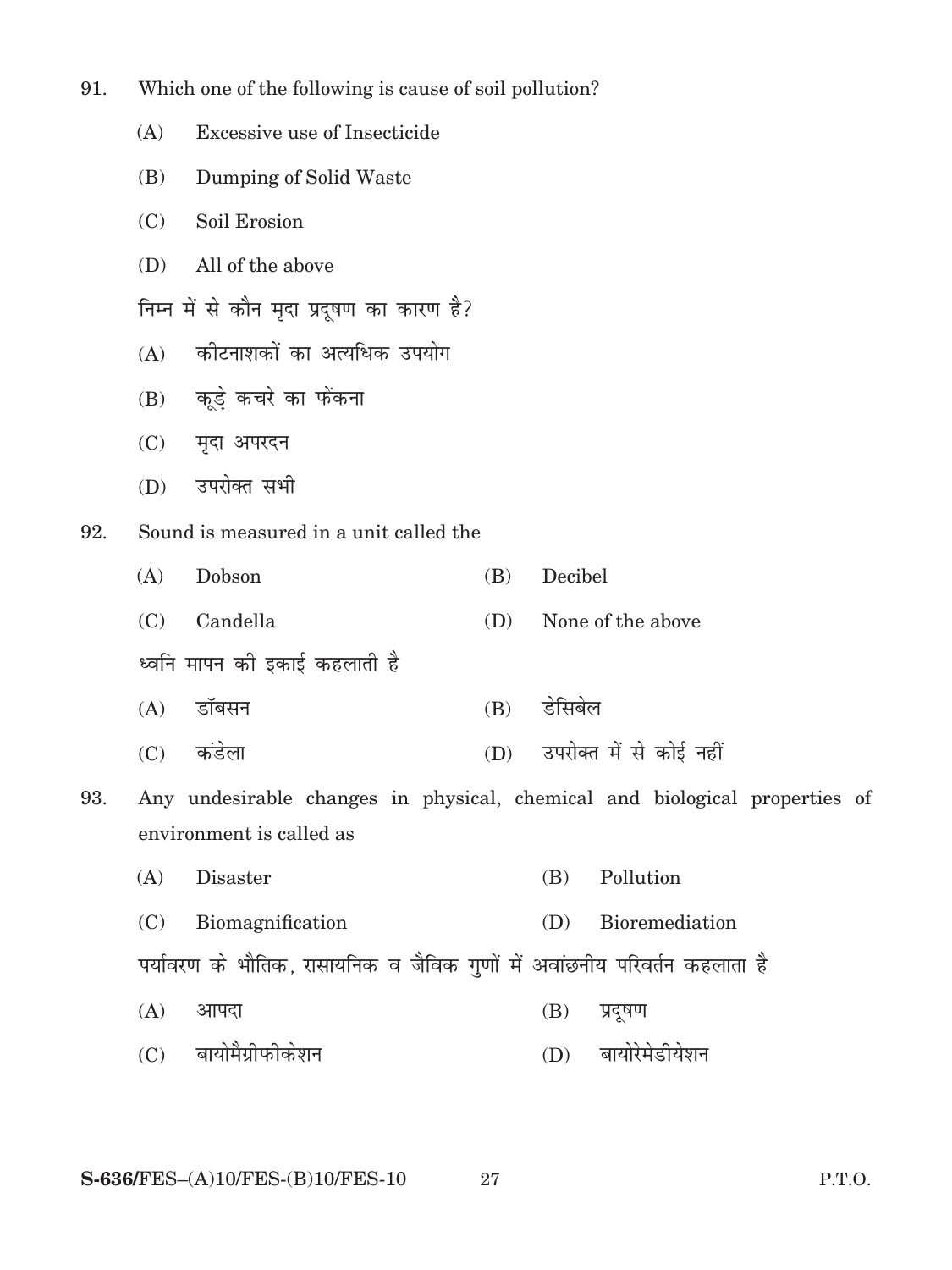| 91. |  |  |  | Which one of the following is cause of soil pollution? |  |
|-----|--|--|--|--------------------------------------------------------|--|
|     |  |  |  |                                                        |  |

- (A) Excessive use of Insecticide
- (B) Dumping of Solid Waste
- (C) Soil Erosion
- (D) All of the above

निम्न में से कौन मृदा प्रदूषण का कारण है?

- (A) कोटनाशकों का अत्यधिक उपयोग
- $(B)$  कूड़े कचरे का फेंकना
- (C) मृदा अपरदन
- (D) उपरोक्त सभी
- 92. Sound is measured in a unit called the

| (A) | Dobson                       | (B) | Decibel                     |  |  |
|-----|------------------------------|-----|-----------------------------|--|--|
|     | (C) Candella                 | (D) | None of the above           |  |  |
|     | ध्वनि मापन को इकाई कहलाती है |     |                             |  |  |
|     | (A) डॉबसन                    | (B) | डेसिबेल                     |  |  |
| (C) | कडेला                        |     | (D) उपरोक्त में से कोई नहीं |  |  |

- 93. Any undesirable changes in physical, chemical and biological properties of environment is called as
	- (A) Disaster (B) Pollution
	- (C) Biomagnification (D) Bioremediation

पर्यावरण के भौतिक, रासायनिक व जैविक गुणों में अवांछनीय परिवर्तन कहलाता है

- $(A)$  आपदा (B) प्रदूषण
- (C) बायोमैग्रीफोकेशन (D) बायोरेमेडीयेशन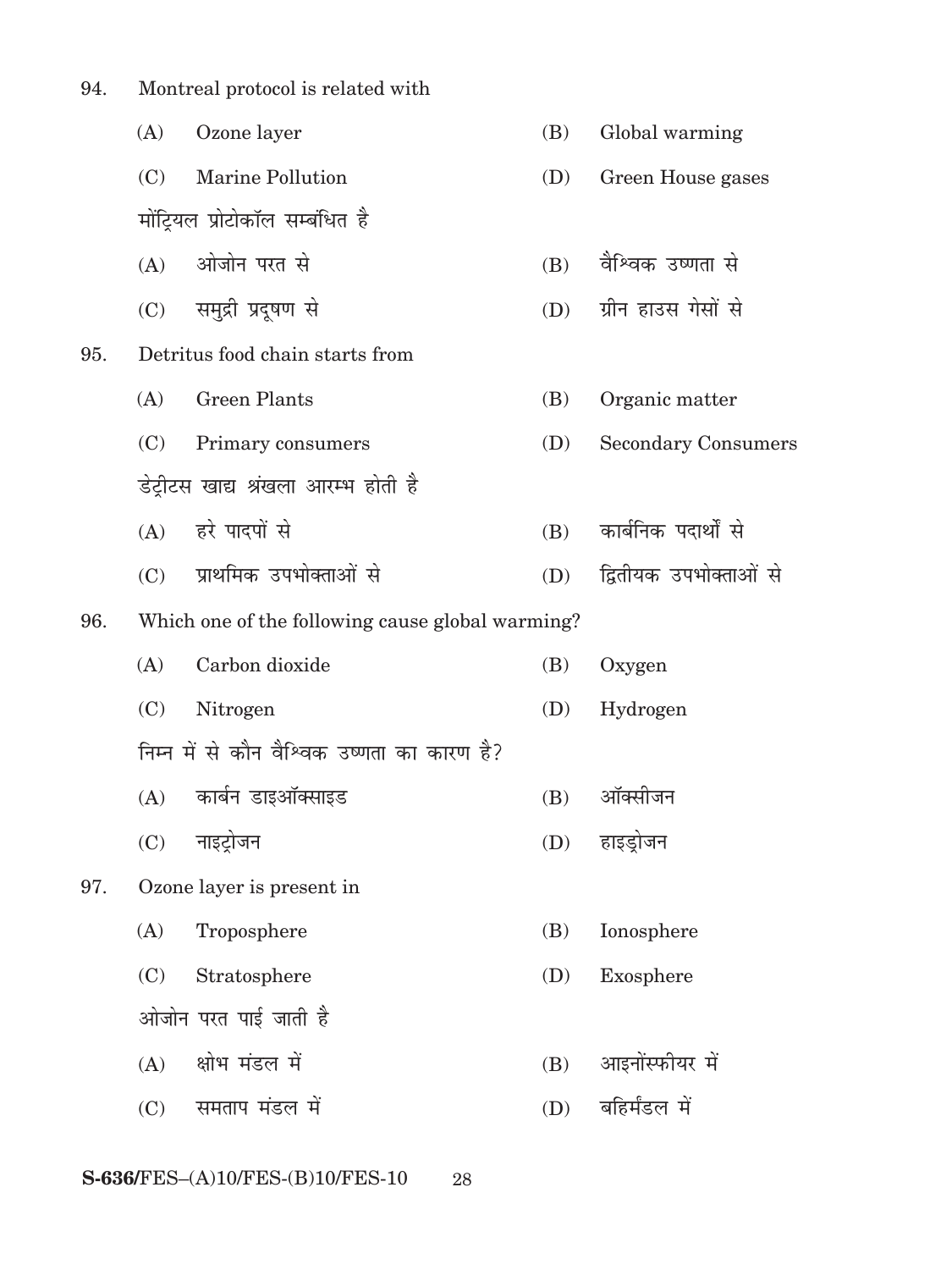| Montreal protocol is related with<br>94. |  |
|------------------------------------------|--|
|------------------------------------------|--|

|     | (A) | Ozone layer                                      | (B) | Global warming             |
|-----|-----|--------------------------------------------------|-----|----------------------------|
|     | (C) | Marine Pollution                                 | (D) | Green House gases          |
|     |     | मोंट्रियल प्रोटोकॉल सम्बंधित है                  |     |                            |
|     | (A) | ओजोन परत से                                      | (B) | वैश्विक उष्णता से          |
|     |     | (C) समुद्री प्रदूषण से                           | (D) | ग्रीन हाउस गेसों से        |
| 95. |     | Detritus food chain starts from                  |     |                            |
|     | (A) | <b>Green Plants</b>                              | (B) | Organic matter             |
|     | (C) | Primary consumers                                | (D) | <b>Secondary Consumers</b> |
|     |     | डेट्रीटस खाद्य श्रंखला आरम्भ होती है             |     |                            |
|     |     | (A) हरे पादपों से                                | (B) | कार्बनिक पदार्थों से       |
|     | (C) | प्राथमिक उपभोक्ताओं से                           | (D) | द्वितीयक उपभोक्ताओं से     |
| 96. |     | Which one of the following cause global warming? |     |                            |
|     | (A) | Carbon dioxide                                   | (B) | Oxygen                     |
|     | (C) | Nitrogen                                         | (D) | Hydrogen                   |
|     |     | निम्न में से कौन वैश्विक उष्णता का कारण है?      |     |                            |
|     | (A) | कार्बन डाइऑक्साइड                                | (B) | ऑक्सीजन                    |
|     | (C) | नाइट्रोजन                                        | (D) | हाइड्रोजन                  |
| 97. |     | Ozone layer is present in                        |     |                            |
|     | (A) | Troposphere                                      | (B) | Ionosphere                 |
|     | (C) | Stratosphere                                     | (D) | Exosphere                  |
|     |     | ओजोन परत पाई जाती है                             |     |                            |
|     | (A) | क्षोभ मंडल में                                   | (B) | आइनोंस्फीयर में            |
|     | (C) | समताप मंडल में                                   | (D) | बहिर्मंडल में              |
|     |     |                                                  |     |                            |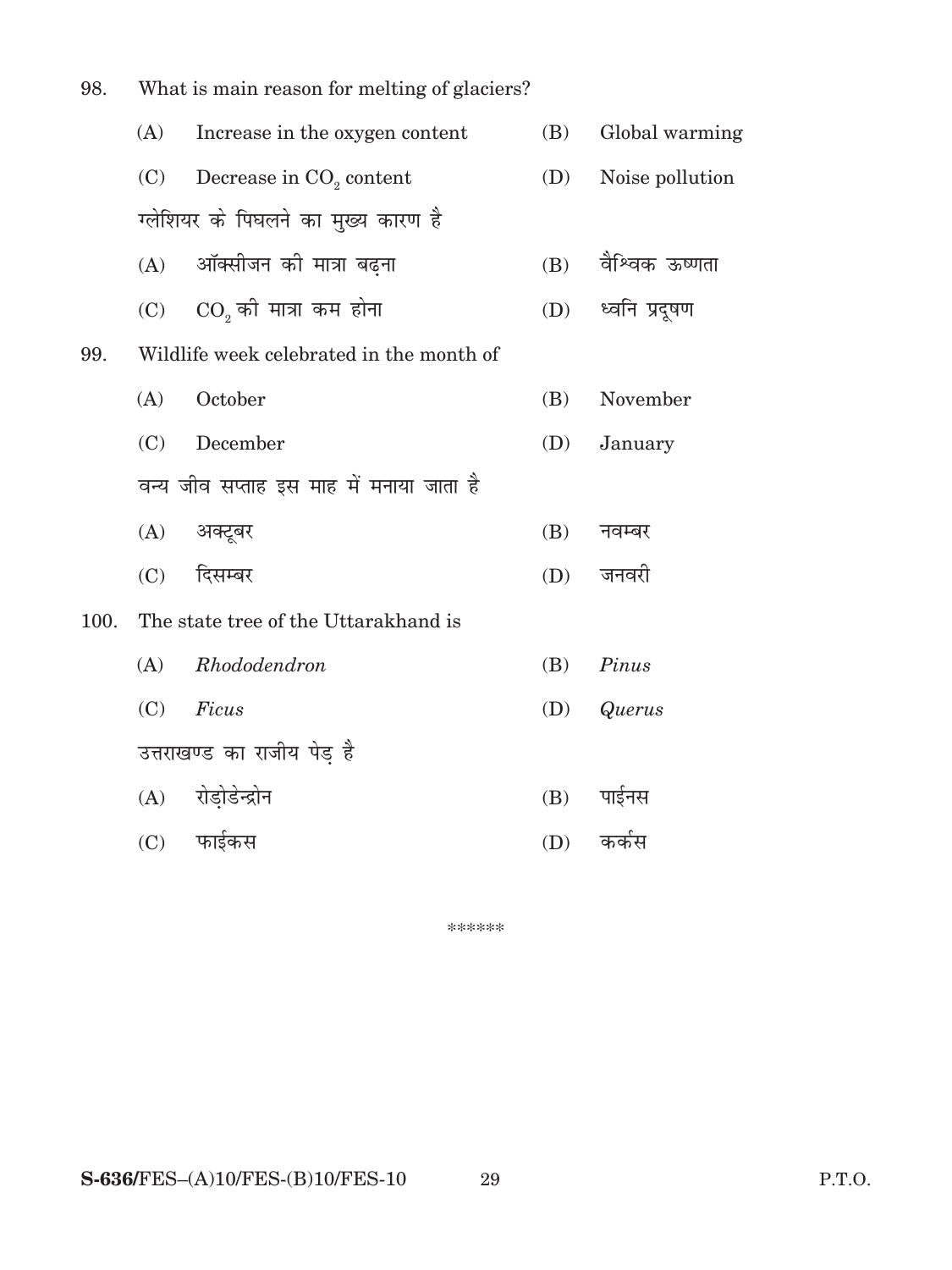| 98.  |                                          |                                          |     |                 |  |  |
|------|------------------------------------------|------------------------------------------|-----|-----------------|--|--|
|      | (A)                                      | Increase in the oxygen content           | (B) | Global warming  |  |  |
|      | (C)                                      | Decrease in CO <sub>2</sub> content      | (D) | Noise pollution |  |  |
|      |                                          | ग्लेशियर के पिघलने का मुख्य कारण है      |     |                 |  |  |
|      | (A)                                      | ऑक्सीजन की मात्रा बढ़ना                  | (B) | वैश्विक ऊष्णता  |  |  |
|      |                                          | $(C)$ $CO2$ की मात्रा कम होना            | (D) | ध्वनि प्रदूषण   |  |  |
| 99.  |                                          | Wildlife week celebrated in the month of |     |                 |  |  |
|      | (A)                                      | October                                  | (B) | November        |  |  |
|      | (C)                                      | December                                 | (D) | January         |  |  |
|      | वन्य जीव सप्ताह इस माह में मनाया जाता है |                                          |     |                 |  |  |
|      |                                          | (A) अक्टूबर                              | (B) | नवम्बर          |  |  |
|      | (C)                                      | दिसम्बर                                  | (D) | जनवरी           |  |  |
| 100. | The state tree of the Uttarakhand is     |                                          |     |                 |  |  |
|      | (A)                                      | Rhododendron                             | (B) | Pinus           |  |  |
|      | (C)                                      | Ficus                                    | (D) | <b>Querus</b>   |  |  |
|      | उत्तराखण्ड का राजीय पेड़ है              |                                          |     |                 |  |  |
|      | (A)                                      | रोड़ोडेन्द्रोन                           | (B) | पाईनस           |  |  |
|      | (C)                                      | फाईकस                                    | (D) | कर्कस           |  |  |

\*\*\*\*\*\*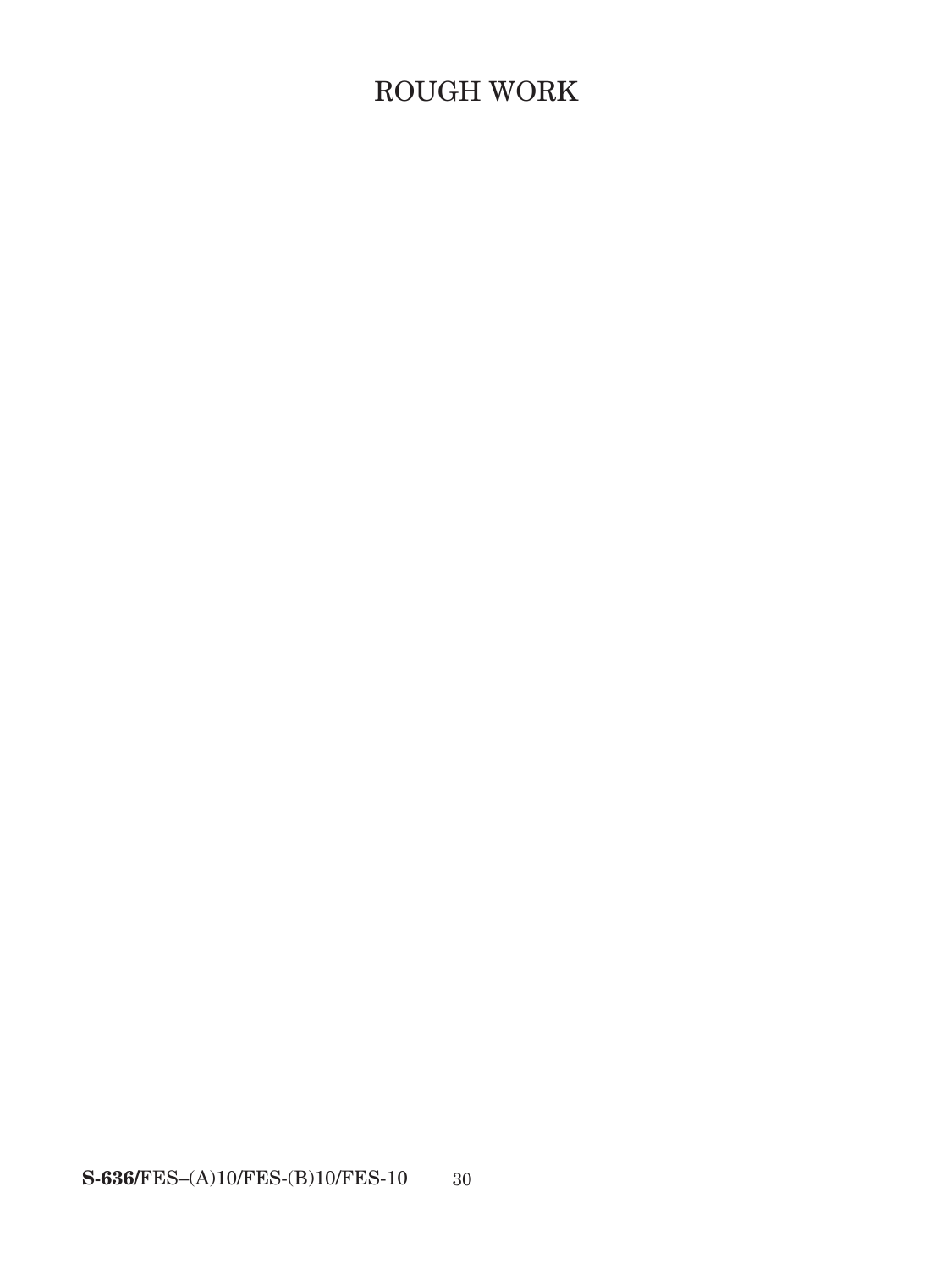# ROUGH WORK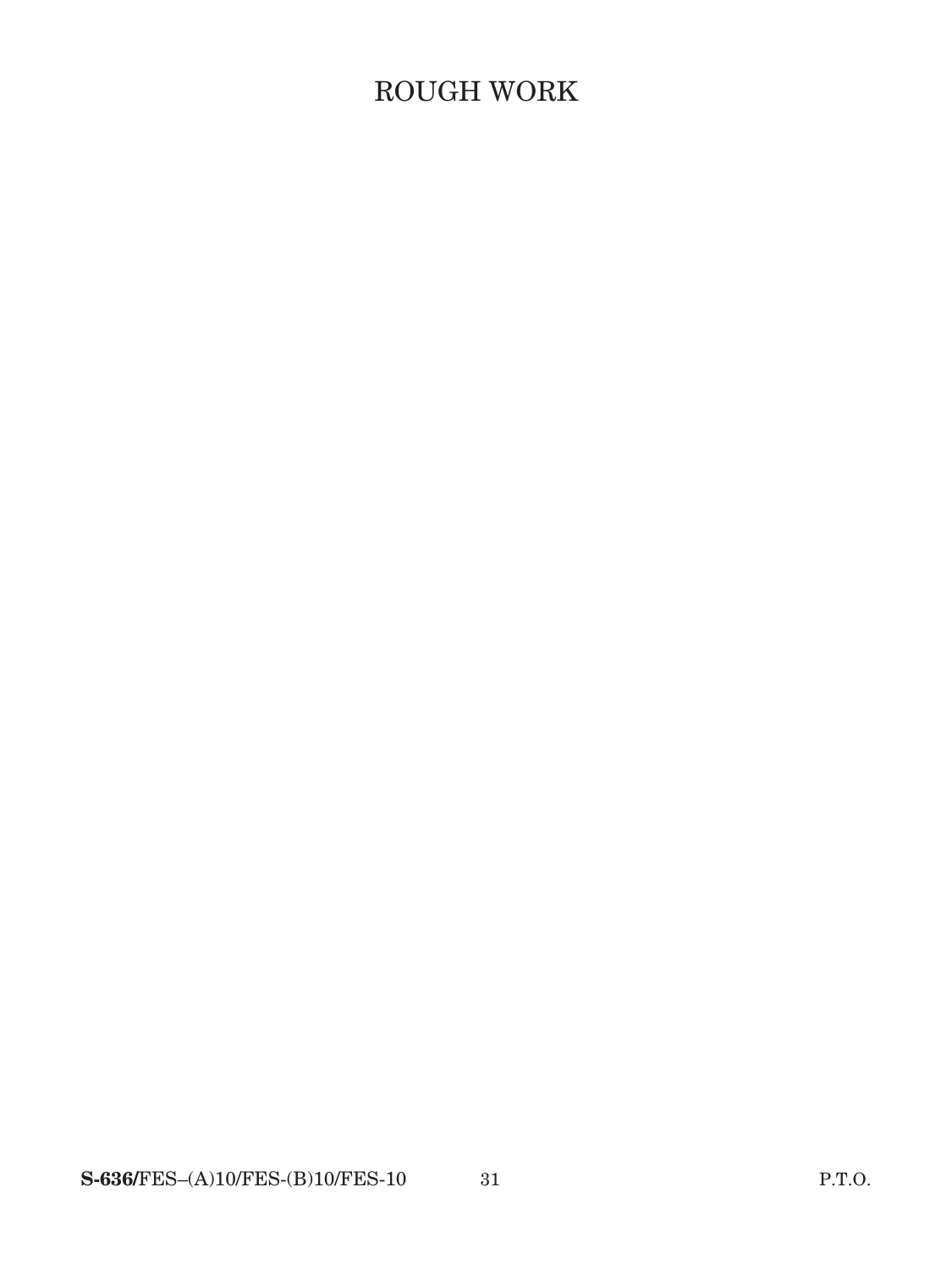# ROUGH WORK